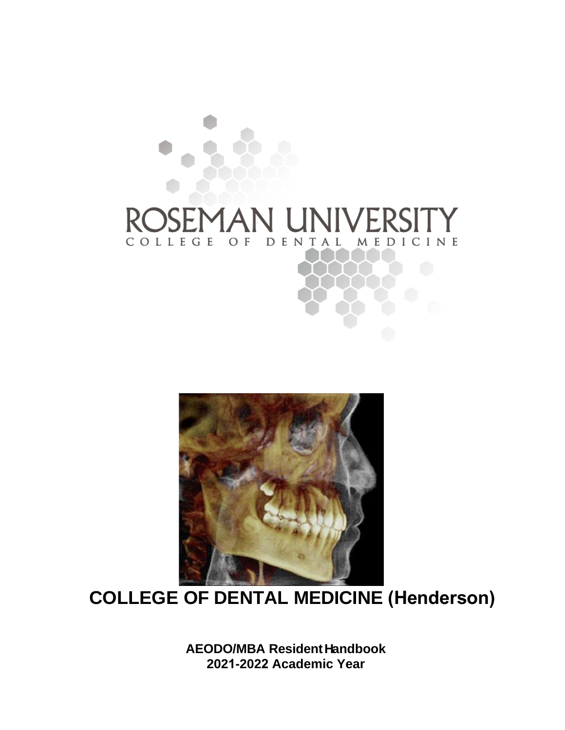# **IVER** R COLLEGE MEDICINE O F DENTAL



## **COLLEGE OF DENTAL MEDICINE (Henderson)**

**AEODO/MBA ResidentHandbook 2021-2022 Academic Year**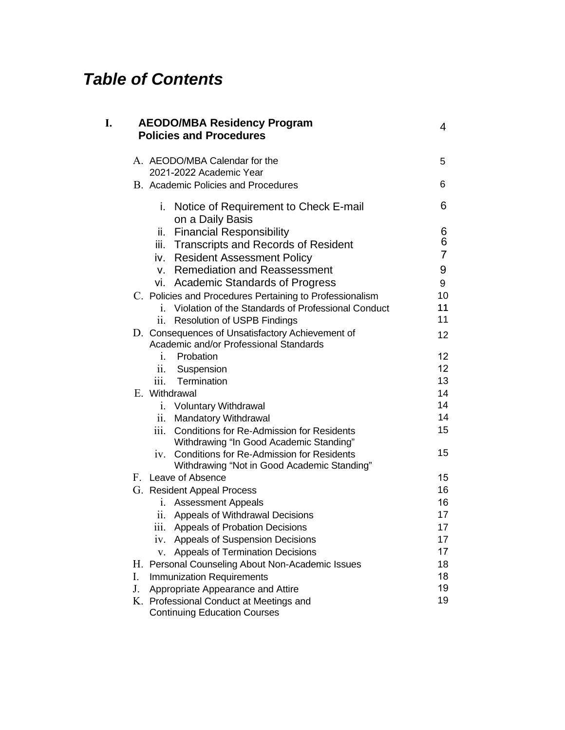## *Table of Contents*

| I. |                                                                                | <b>AEODO/MBA Residency Program</b><br><b>Policies and Procedures</b>                                                     | 4                   |  |
|----|--------------------------------------------------------------------------------|--------------------------------------------------------------------------------------------------------------------------|---------------------|--|
|    |                                                                                | A. AEODO/MBA Calendar for the<br>2021-2022 Academic Year                                                                 | 5                   |  |
|    |                                                                                | B. Academic Policies and Procedures                                                                                      | 6                   |  |
|    |                                                                                | Notice of Requirement to Check E-mail<br>i.<br>on a Daily Basis                                                          | 6                   |  |
|    |                                                                                | <b>Financial Responsibility</b><br>ii.                                                                                   | 6                   |  |
|    |                                                                                | iii. Transcripts and Records of Resident                                                                                 | 6<br>$\overline{7}$ |  |
|    |                                                                                | iv. Resident Assessment Policy                                                                                           |                     |  |
|    |                                                                                | v. Remediation and Reassessment                                                                                          | 9                   |  |
|    |                                                                                | vi. Academic Standards of Progress                                                                                       | 9<br>10             |  |
|    |                                                                                | C. Policies and Procedures Pertaining to Professionalism<br>Violation of the Standards of Professional Conduct<br>1.     | 11                  |  |
|    |                                                                                | <b>Resolution of USPB Findings</b><br>$\ddot{\mathbf{11}}$ .                                                             | 11                  |  |
|    |                                                                                | D. Consequences of Unsatisfactory Achievement of                                                                         | 12                  |  |
|    |                                                                                | Academic and/or Professional Standards                                                                                   |                     |  |
|    |                                                                                | i.<br>Probation                                                                                                          | 12 <sup>2</sup>     |  |
|    |                                                                                | Suspension<br>$\overline{11}$ .                                                                                          | 12 <sup>°</sup>     |  |
|    |                                                                                | iii. Termination                                                                                                         | 13                  |  |
|    |                                                                                | E. Withdrawal                                                                                                            | 14                  |  |
|    |                                                                                | <b>Voluntary Withdrawal</b><br>$\mathbf{i}$ .                                                                            | 14                  |  |
|    |                                                                                | Mandatory Withdrawal<br>11.                                                                                              | 14                  |  |
|    |                                                                                | <b>Conditions for Re-Admission for Residents</b><br>$\overline{\text{iii}}$ .<br>Withdrawing "In Good Academic Standing" | 15                  |  |
|    |                                                                                | <b>Conditions for Re-Admission for Residents</b><br>1V.<br>Withdrawing "Not in Good Academic Standing"                   | 15                  |  |
|    |                                                                                | F. Leave of Absence                                                                                                      | 15                  |  |
|    |                                                                                | G. Resident Appeal Process                                                                                               | 16                  |  |
|    |                                                                                | <b>Assessment Appeals</b><br>$i_{\cdot}$                                                                                 | 16                  |  |
|    |                                                                                | Appeals of Withdrawal Decisions<br>11.                                                                                   | 17                  |  |
|    |                                                                                | Appeals of Probation Decisions<br>111.                                                                                   | 17                  |  |
|    |                                                                                | Appeals of Suspension Decisions<br>1V.                                                                                   | 17                  |  |
|    |                                                                                | Appeals of Termination Decisions<br>V.                                                                                   | 17                  |  |
|    |                                                                                | H. Personal Counseling About Non-Academic Issues                                                                         | 18                  |  |
|    | I.                                                                             | <b>Immunization Requirements</b>                                                                                         | 18<br>19            |  |
|    | J.                                                                             | Appropriate Appearance and Attire                                                                                        | 19                  |  |
|    | K. Professional Conduct at Meetings and<br><b>Continuing Education Courses</b> |                                                                                                                          |                     |  |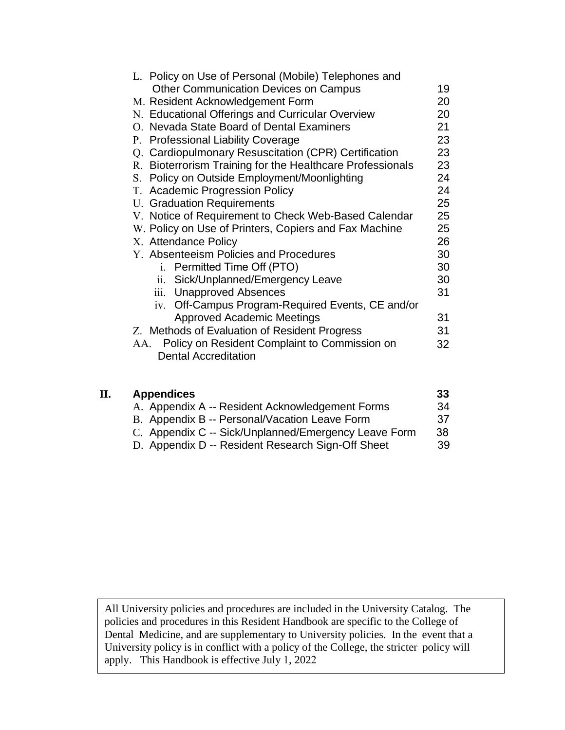| L. Policy on Use of Personal (Mobile) Telephones and      |    |
|-----------------------------------------------------------|----|
| <b>Other Communication Devices on Campus</b>              | 19 |
| M. Resident Acknowledgement Form                          | 20 |
| N. Educational Offerings and Curricular Overview          | 20 |
| O. Nevada State Board of Dental Examiners                 | 21 |
| P. Professional Liability Coverage                        | 23 |
| Q. Cardiopulmonary Resuscitation (CPR) Certification      | 23 |
| R. Bioterrorism Training for the Healthcare Professionals | 23 |
| S. Policy on Outside Employment/Moonlighting              | 24 |
| T. Academic Progression Policy                            | 24 |
| <b>U.</b> Graduation Requirements                         | 25 |
| V. Notice of Requirement to Check Web-Based Calendar      | 25 |
| W. Policy on Use of Printers, Copiers and Fax Machine     | 25 |
| X. Attendance Policy                                      | 26 |
| Y. Absenteeism Policies and Procedures                    | 30 |
| i. Permitted Time Off (PTO)                               | 30 |
| Sick/Unplanned/Emergency Leave<br>ii.                     | 30 |
| iii. Unapproved Absences                                  | 31 |
| iv. Off-Campus Program-Required Events, CE and/or         |    |
| <b>Approved Academic Meetings</b>                         | 31 |
| Z. Methods of Evaluation of Resident Progress             | 31 |
| Policy on Resident Complaint to Commission on<br>AA.      | 32 |
| <b>Dental Accreditation</b>                               |    |
|                                                           |    |

| П. | <b>Appendices</b>                                    | 33 |
|----|------------------------------------------------------|----|
|    | A. Appendix A -- Resident Acknowledgement Forms      | 34 |
|    | B. Appendix B -- Personal/Vacation Leave Form        | 37 |
|    | C. Appendix C -- Sick/Unplanned/Emergency Leave Form | 38 |
|    | D. Appendix D -- Resident Research Sign-Off Sheet    | 39 |

All University policies and procedures are included in the University Catalog. The policies and procedures in this Resident Handbook are specific to the College of Dental Medicine, and are supplementary to University policies. In the event that a University policy is in conflict with a policy of the College, the stricter policy will apply. This Handbook is effective July 1, 2022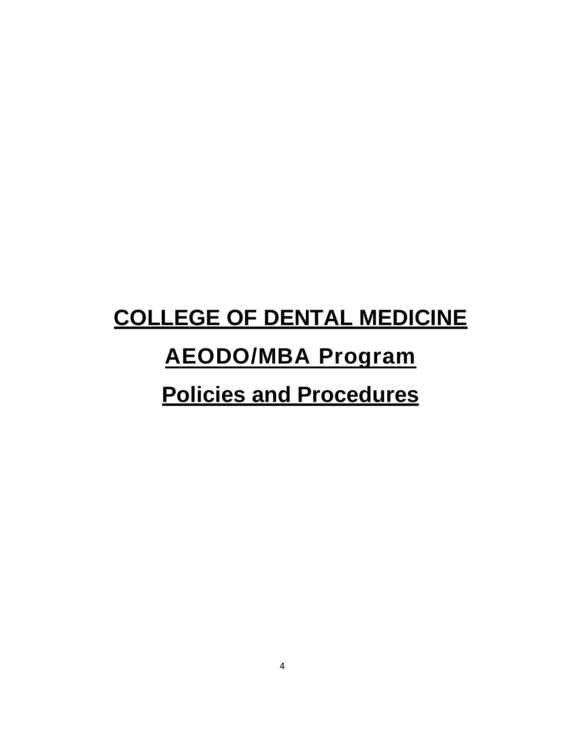# **COLLEGE OF DENTAL MEDICINE**

# **AEODO/MBA Program**

## **Policies and Procedures**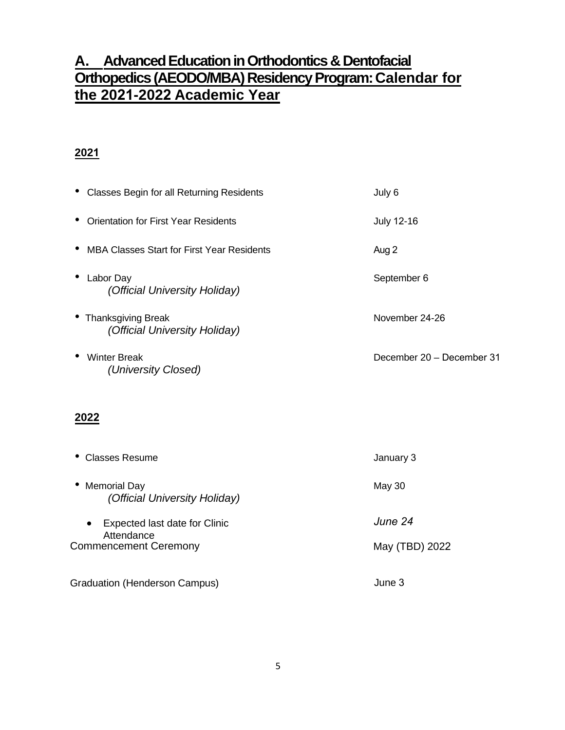### **A. Advanced EducationinOrthodontics & Dentofacial Orthopedics(AEODO/MBA) Residency Program:Calendar for the 2021-2022 Academic Year**

### **2021**

| • Classes Begin for all Returning Residents             | July 6                    |
|---------------------------------------------------------|---------------------------|
| • Orientation for First Year Residents                  | <b>July 12-16</b>         |
| MBA Classes Start for First Year Residents<br>$\bullet$ | Aug 2                     |
| $\bullet$<br>Labor Day<br>(Official University Holiday) | September 6               |
| • Thanksgiving Break<br>(Official University Holiday)   | November 24-26            |
| <b>Winter Break</b><br>$\bullet$<br>(University Closed) | December 20 - December 31 |

### **2022**

| Classes Resume                                                                           | January 3                 |
|------------------------------------------------------------------------------------------|---------------------------|
| • Memorial Day<br>(Official University Holiday)                                          | May 30                    |
| Expected last date for Clinic<br>$\bullet$<br>Attendance<br><b>Commencement Ceremony</b> | June 24<br>May (TBD) 2022 |
| <b>Graduation (Henderson Campus)</b>                                                     | June 3                    |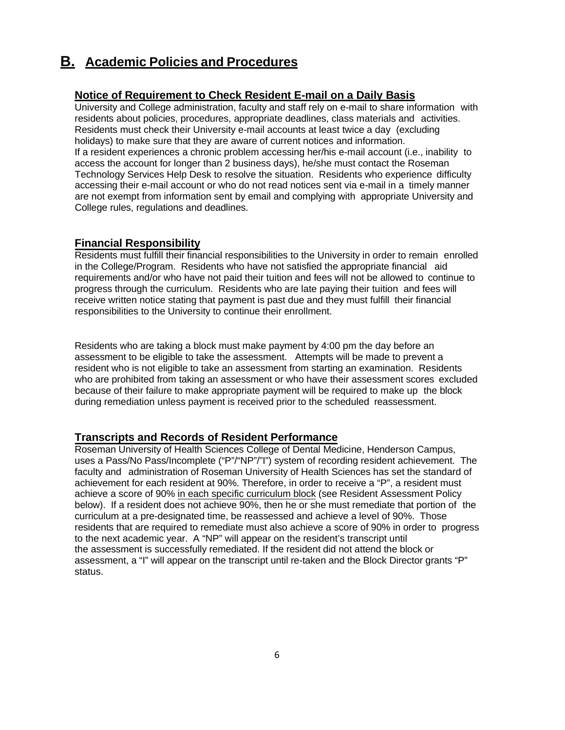### **B. Academic Policies and Procedures**

### **Notice of Requirement to Check Resident E-mail on a Daily Basis**

University and College administration, faculty and staff rely on e-mail to share information with residents about policies, procedures, appropriate deadlines, class materials and activities. Residents must check their University e-mail accounts at least twice a day (excluding holidays) to make sure that they are aware of current notices and information. If a resident experiences a chronic problem accessing her/his e-mail account (i.e., inability to access the account for longer than 2 business days), he/she must contact the Roseman Technology Services Help Desk to resolve the situation. Residents who experience difficulty accessing their e-mail account or who do not read notices sent via e-mail in a timely manner are not exempt from information sent by email and complying with appropriate University and College rules, regulations and deadlines.

#### **Financial Responsibility**

Residents must fulfill their financial responsibilities to the University in order to remain enrolled in the College/Program. Residents who have not satisfied the appropriate financial aid requirements and/or who have not paid their tuition and fees will not be allowed to continue to progress through the curriculum. Residents who are late paying their tuition and fees will receive written notice stating that payment is past due and they must fulfill their financial responsibilities to the University to continue their enrollment.

Residents who are taking a block must make payment by 4:00 pm the day before an assessment to be eligible to take the assessment. Attempts will be made to prevent a resident who is not eligible to take an assessment from starting an examination. Residents who are prohibited from taking an assessment or who have their assessment scores excluded because of their failure to make appropriate payment will be required to make up the block during remediation unless payment is received prior to the scheduled reassessment.

### **Transcripts and Records of Resident Performance**

Roseman University of Health Sciences College of Dental Medicine, Henderson Campus, uses a Pass/No Pass/Incomplete ("P"/"NP"/"I") system of recording resident achievement. The faculty and administration of Roseman University of Health Sciences has set the standard of achievement for each resident at 90%. Therefore, in order to receive a "P", a resident must achieve a score of 90% in each specific curriculum block (see Resident Assessment Policy below). If a resident does not achieve 90%, then he or she must remediate that portion of the curriculum at a pre-designated time, be reassessed and achieve a level of 90%. Those residents that are required to remediate must also achieve a score of 90% in order to progress to the next academic year. A "NP" will appear on the resident's transcript until the assessment is successfully remediated. If the resident did not attend the block or assessment, a "I" will appear on the transcript until re-taken and the Block Director grants "P" status.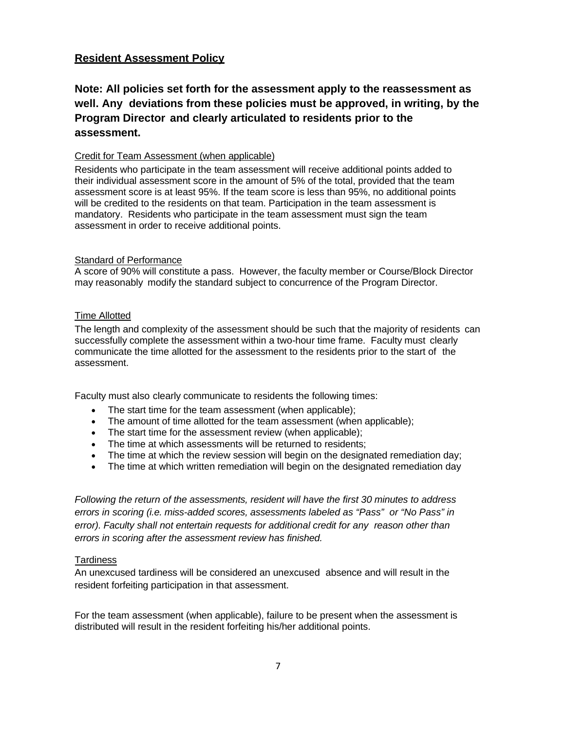### **Resident Assessment Policy**

### **Note: All policies set forth for the assessment apply to the reassessment as well. Any deviations from these policies must be approved, in writing, by the Program Director and clearly articulated to residents prior to the assessment.**

#### Credit for Team Assessment (when applicable)

Residents who participate in the team assessment will receive additional points added to their individual assessment score in the amount of 5% of the total, provided that the team assessment score is at least 95%. If the team score is less than 95%, no additional points will be credited to the residents on that team. Participation in the team assessment is mandatory. Residents who participate in the team assessment must sign the team assessment in order to receive additional points.

#### Standard of Performance

A score of 90% will constitute a pass. However, the faculty member or Course/Block Director may reasonably modify the standard subject to concurrence of the Program Director.

#### Time Allotted

The length and complexity of the assessment should be such that the majority of residents can successfully complete the assessment within a two-hour time frame. Faculty must clearly communicate the time allotted for the assessment to the residents prior to the start of the assessment.

Faculty must also clearly communicate to residents the following times:

- The start time for the team assessment (when applicable);
- The amount of time allotted for the team assessment (when applicable);
- The start time for the assessment review (when applicable);
- The time at which assessments will be returned to residents;
- The time at which the review session will begin on the designated remediation day;
- The time at which written remediation will begin on the designated remediation day

*Following the return of the assessments, resident will have the first 30 minutes to address errors in scoring (i.e. miss-added scores, assessments labeled as "Pass" or "No Pass" in error). Faculty shall not entertain requests for additional credit for any reason other than errors in scoring after the assessment review has finished.*

#### **Tardiness**

An unexcused tardiness will be considered an unexcused absence and will result in the resident forfeiting participation in that assessment.

For the team assessment (when applicable), failure to be present when the assessment is distributed will result in the resident forfeiting his/her additional points.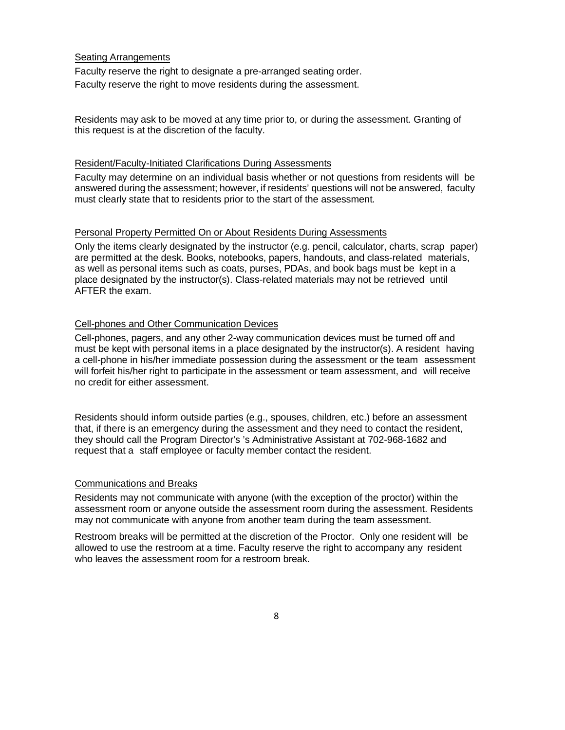#### Seating Arrangements

Faculty reserve the right to designate a pre-arranged seating order. Faculty reserve the right to move residents during the assessment.

Residents may ask to be moved at any time prior to, or during the assessment. Granting of this request is at the discretion of the faculty.

#### Resident/Faculty-Initiated Clarifications During Assessments

Faculty may determine on an individual basis whether or not questions from residents will be answered during the assessment; however, if residents' questions will not be answered, faculty must clearly state that to residents prior to the start of the assessment.

#### Personal Property Permitted On or About Residents During Assessments

Only the items clearly designated by the instructor (e.g. pencil, calculator, charts, scrap paper) are permitted at the desk. Books, notebooks, papers, handouts, and class-related materials, as well as personal items such as coats, purses, PDAs, and book bags must be kept in a place designated by the instructor(s). Class-related materials may not be retrieved until AFTER the exam.

#### Cell-phones and Other Communication Devices

Cell-phones, pagers, and any other 2-way communication devices must be turned off and must be kept with personal items in a place designated by the instructor(s). A resident having a cell-phone in his/her immediate possession during the assessment or the team assessment will forfeit his/her right to participate in the assessment or team assessment, and will receive no credit for either assessment.

Residents should inform outside parties (e.g., spouses, children, etc.) before an assessment that, if there is an emergency during the assessment and they need to contact the resident, they should call the Program Director's 's Administrative Assistant at 702-968-1682 and request that a staff employee or faculty member contact the resident.

#### Communications and Breaks

Residents may not communicate with anyone (with the exception of the proctor) within the assessment room or anyone outside the assessment room during the assessment. Residents may not communicate with anyone from another team during the team assessment.

Restroom breaks will be permitted at the discretion of the Proctor. Only one resident will be allowed to use the restroom at a time. Faculty reserve the right to accompany any resident who leaves the assessment room for a restroom break.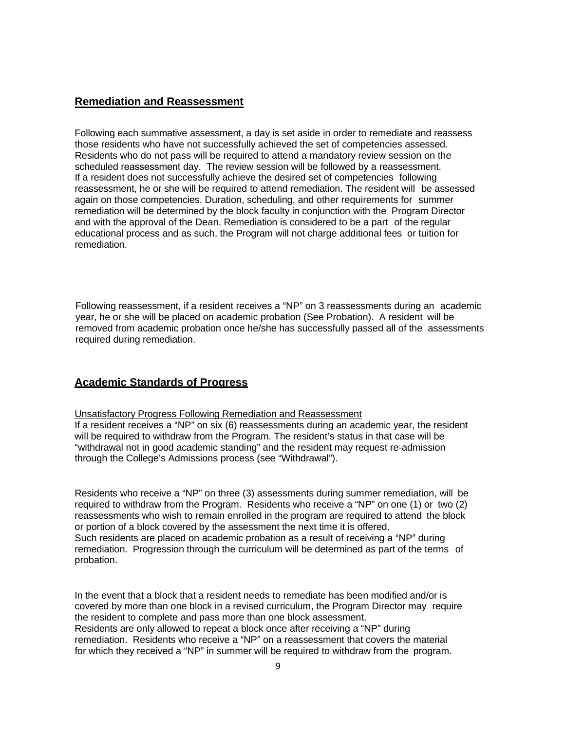### **Remediation and Reassessment**

Following each summative assessment, a day is set aside in order to remediate and reassess those residents who have not successfully achieved the set of competencies assessed. Residents who do not pass will be required to attend a mandatory review session on the scheduled reassessment day. The review session will be followed by a reassessment. If a resident does not successfully achieve the desired set of competencies following reassessment, he or she will be required to attend remediation. The resident will be assessed again on those competencies. Duration, scheduling, and other requirements for summer remediation will be determined by the block faculty in conjunction with the Program Director and with the approval of the Dean. Remediation is considered to be a part of the regular educational process and as such, the Program will not charge additional fees or tuition for remediation.

Following reassessment, if a resident receives a "NP" on 3 reassessments during an academic year, he or she will be placed on academic probation (See Probation). A resident will be removed from academic probation once he/she has successfully passed all of the assessments required during remediation.

### **Academic Standards of Progress**

Unsatisfactory Progress Following Remediation and Reassessment If a resident receives a "NP" on six (6) reassessments during an academic year, the resident will be required to withdraw from the Program. The resident's status in that case will be "withdrawal not in good academic standing" and the resident may request re-admission through the College's Admissions process (see "Withdrawal").

Residents who receive a "NP" on three (3) assessments during summer remediation, will be required to withdraw from the Program. Residents who receive a "NP" on one (1) or two (2) reassessments who wish to remain enrolled in the program are required to attend the block or portion of a block covered by the assessment the next time it is offered. Such residents are placed on academic probation as a result of receiving a "NP" during remediation. Progression through the curriculum will be determined as part of the terms of probation.

In the event that a block that a resident needs to remediate has been modified and/or is covered by more than one block in a revised curriculum, the Program Director may require the resident to complete and pass more than one block assessment. Residents are only allowed to repeat a block once after receiving a "NP" during remediation. Residents who receive a "NP" on a reassessment that covers the material for which they received a "NP" in summer will be required to withdraw from the program.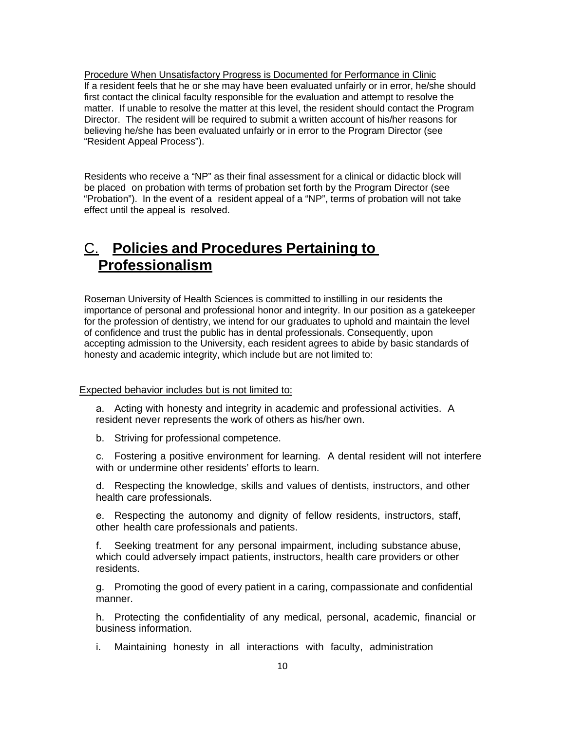Procedure When Unsatisfactory Progress is Documented for Performance in Clinic If a resident feels that he or she may have been evaluated unfairly or in error, he/she should first contact the clinical faculty responsible for the evaluation and attempt to resolve the matter. If unable to resolve the matter at this level, the resident should contact the Program Director. The resident will be required to submit a written account of his/her reasons for believing he/she has been evaluated unfairly or in error to the Program Director (see "Resident Appeal Process").

Residents who receive a "NP" as their final assessment for a clinical or didactic block will be placed on probation with terms of probation set forth by the Program Director (see "Probation"). In the event of a resident appeal of a "NP", terms of probation will not take effect until the appeal is resolved.

### C. **Policies and Procedures Pertaining to Professionalism**

Roseman University of Health Sciences is committed to instilling in our residents the importance of personal and professional honor and integrity. In our position as a gatekeeper for the profession of dentistry, we intend for our graduates to uphold and maintain the level of confidence and trust the public has in dental professionals. Consequently, upon accepting admission to the University, each resident agrees to abide by basic standards of honesty and academic integrity, which include but are not limited to:

#### Expected behavior includes but is not limited to:

a. Acting with honesty and integrity in academic and professional activities. A resident never represents the work of others as his/her own.

b. Striving for professional competence.

c. Fostering a positive environment for learning. A dental resident will not interfere with or undermine other residents' efforts to learn.

d. Respecting the knowledge, skills and values of dentists, instructors, and other health care professionals.

e. Respecting the autonomy and dignity of fellow residents, instructors, staff, other health care professionals and patients.

f. Seeking treatment for any personal impairment, including substance abuse, which could adversely impact patients, instructors, health care providers or other residents.

g. Promoting the good of every patient in a caring, compassionate and confidential manner.

h. Protecting the confidentiality of any medical, personal, academic, financial or business information.

i. Maintaining honesty in all interactions with faculty, administration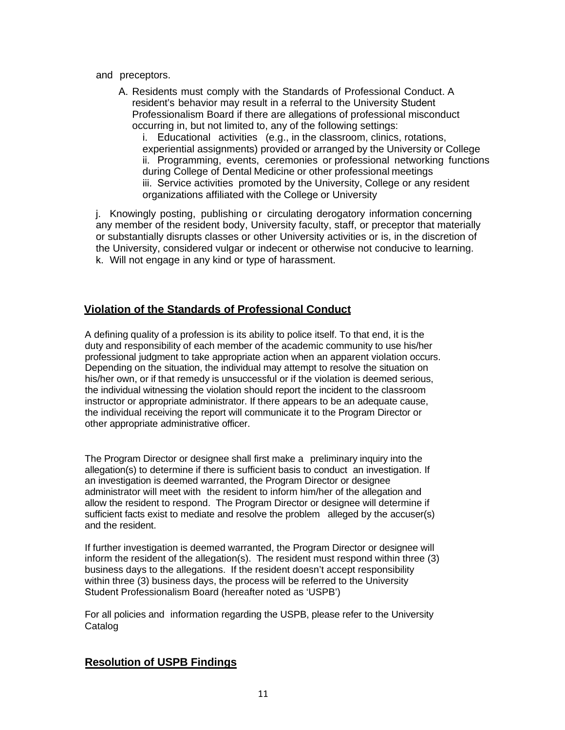#### and preceptors.

A. Residents must comply with the Standards of Professional Conduct. A resident's behavior may result in a referral to the University Student Professionalism Board if there are allegations of professional misconduct occurring in, but not limited to, any of the following settings:

i. Educational activities (e.g., in the classroom, clinics, rotations, experiential assignments) provided or arranged by the University or College ii. Programming, events, ceremonies or professional networking functions during College of Dental Medicine or other professional meetings iii. Service activities promoted by the University, College or any resident organizations affiliated with the College or University

j. Knowingly posting, publishing or circulating derogatory information concerning any member of the resident body, University faculty, staff, or preceptor that materially or substantially disrupts classes or other University activities or is, in the discretion of the University, considered vulgar or indecent or otherwise not conducive to learning. k. Will not engage in any kind or type of harassment.

### **Violation of the Standards of Professional Conduct**

A defining quality of a profession is its ability to police itself. To that end, it is the duty and responsibility of each member of the academic community to use his/her professional judgment to take appropriate action when an apparent violation occurs. Depending on the situation, the individual may attempt to resolve the situation on his/her own, or if that remedy is unsuccessful or if the violation is deemed serious, the individual witnessing the violation should report the incident to the classroom instructor or appropriate administrator. If there appears to be an adequate cause, the individual receiving the report will communicate it to the Program Director or other appropriate administrative officer.

The Program Director or designee shall first make a preliminary inquiry into the allegation(s) to determine if there is sufficient basis to conduct an investigation. If an investigation is deemed warranted, the Program Director or designee administrator will meet with the resident to inform him/her of the allegation and allow the resident to respond. The Program Director or designee will determine if sufficient facts exist to mediate and resolve the problem alleged by the accuser(s) and the resident.

If further investigation is deemed warranted, the Program Director or designee will inform the resident of the allegation(s). The resident must respond within three (3) business days to the allegations. If the resident doesn't accept responsibility within three (3) business days, the process will be referred to the University Student Professionalism Board (hereafter noted as 'USPB')

For all policies and information regarding the USPB, please refer to the University Catalog

### **Resolution of USPB Findings**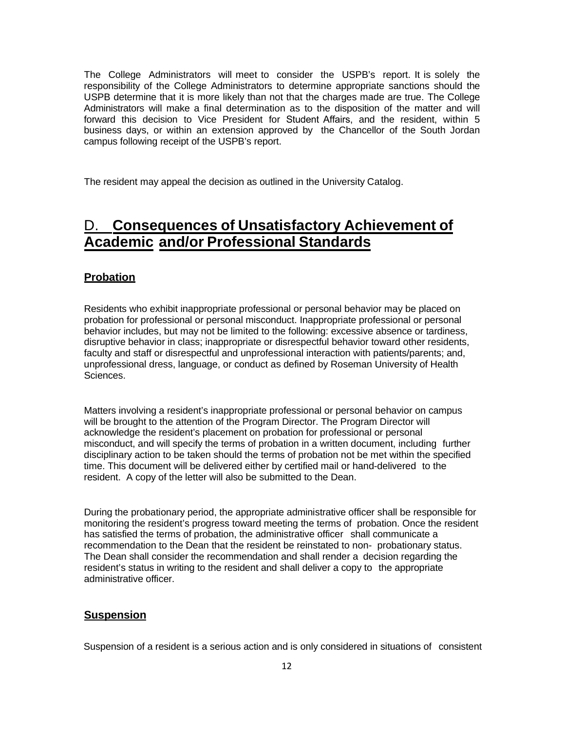The College Administrators will meet to consider the USPB's report. It is solely the responsibility of the College Administrators to determine appropriate sanctions should the USPB determine that it is more likely than not that the charges made are true. The College Administrators will make a final determination as to the disposition of the matter and will forward this decision to Vice President for Student Affairs, and the resident, within 5 business days, or within an extension approved by the Chancellor of the South Jordan campus following receipt of the USPB's report.

The resident may appeal the decision as outlined in the University Catalog.

### D. **Consequences of Unsatisfactory Achievement of Academic and/or Professional Standards**

#### **Probation**

Residents who exhibit inappropriate professional or personal behavior may be placed on probation for professional or personal misconduct. Inappropriate professional or personal behavior includes, but may not be limited to the following: excessive absence or tardiness, disruptive behavior in class; inappropriate or disrespectful behavior toward other residents, faculty and staff or disrespectful and unprofessional interaction with patients/parents; and, unprofessional dress, language, or conduct as defined by Roseman University of Health Sciences.

Matters involving a resident's inappropriate professional or personal behavior on campus will be brought to the attention of the Program Director. The Program Director will acknowledge the resident's placement on probation for professional or personal misconduct, and will specify the terms of probation in a written document, including further disciplinary action to be taken should the terms of probation not be met within the specified time. This document will be delivered either by certified mail or hand-delivered to the resident. A copy of the letter will also be submitted to the Dean.

During the probationary period, the appropriate administrative officer shall be responsible for monitoring the resident's progress toward meeting the terms of probation. Once the resident has satisfied the terms of probation, the administrative officer shall communicate a recommendation to the Dean that the resident be reinstated to non- probationary status. The Dean shall consider the recommendation and shall render a decision regarding the resident's status in writing to the resident and shall deliver a copy to the appropriate administrative officer.

#### **Suspension**

Suspension of a resident is a serious action and is only considered in situations of consistent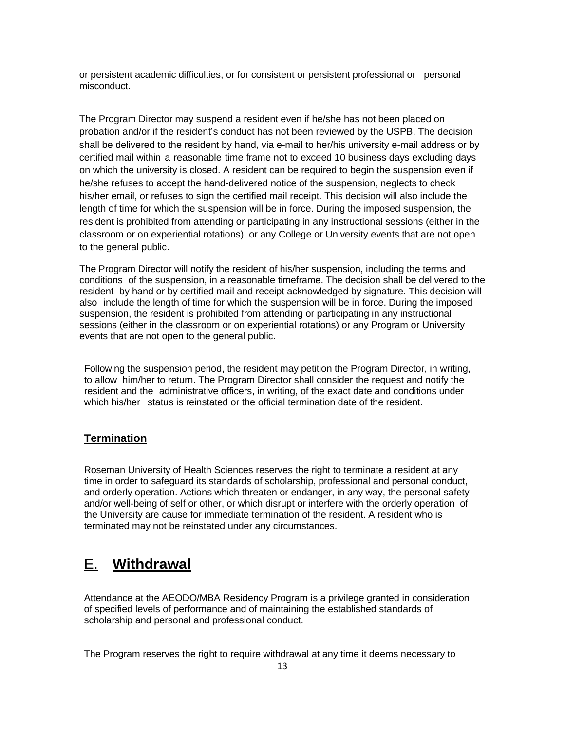or persistent academic difficulties, or for consistent or persistent professional or personal misconduct.

The Program Director may suspend a resident even if he/she has not been placed on probation and/or if the resident's conduct has not been reviewed by the USPB. The decision shall be delivered to the resident by hand, via e-mail to her/his university e-mail address or by certified mail within a reasonable time frame not to exceed 10 business days excluding days on which the university is closed. A resident can be required to begin the suspension even if he/she refuses to accept the hand-delivered notice of the suspension, neglects to check his/her email, or refuses to sign the certified mail receipt. This decision will also include the length of time for which the suspension will be in force. During the imposed suspension, the resident is prohibited from attending or participating in any instructional sessions (either in the classroom or on experiential rotations), or any College or University events that are not open to the general public.

The Program Director will notify the resident of his/her suspension, including the terms and conditions of the suspension, in a reasonable timeframe. The decision shall be delivered to the resident by hand or by certified mail and receipt acknowledged by signature. This decision will also include the length of time for which the suspension will be in force. During the imposed suspension, the resident is prohibited from attending or participating in any instructional sessions (either in the classroom or on experiential rotations) or any Program or University events that are not open to the general public.

Following the suspension period, the resident may petition the Program Director, in writing, to allow him/her to return. The Program Director shall consider the request and notify the resident and the administrative officers, in writing, of the exact date and conditions under which his/her status is reinstated or the official termination date of the resident.

#### **Termination**

Roseman University of Health Sciences reserves the right to terminate a resident at any time in order to safeguard its standards of scholarship, professional and personal conduct, and orderly operation. Actions which threaten or endanger, in any way, the personal safety and/or well-being of self or other, or which disrupt or interfere with the orderly operation of the University are cause for immediate termination of the resident. A resident who is terminated may not be reinstated under any circumstances.

### E. **Withdrawal**

Attendance at the AEODO/MBA Residency Program is a privilege granted in consideration of specified levels of performance and of maintaining the established standards of scholarship and personal and professional conduct.

The Program reserves the right to require withdrawal at any time it deems necessary to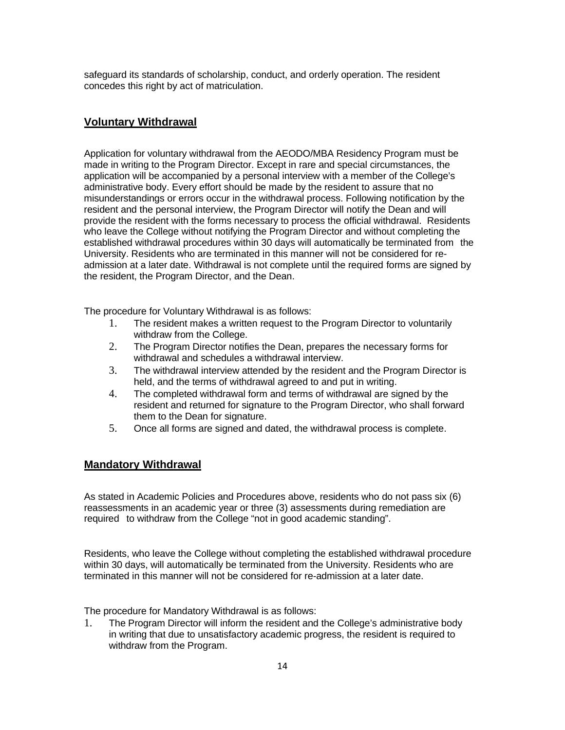safeguard its standards of scholarship, conduct, and orderly operation. The resident concedes this right by act of matriculation.

#### **Voluntary Withdrawal**

Application for voluntary withdrawal from the AEODO/MBA Residency Program must be made in writing to the Program Director. Except in rare and special circumstances, the application will be accompanied by a personal interview with a member of the College's administrative body. Every effort should be made by the resident to assure that no misunderstandings or errors occur in the withdrawal process. Following notification by the resident and the personal interview, the Program Director will notify the Dean and will provide the resident with the forms necessary to process the official withdrawal. Residents who leave the College without notifying the Program Director and without completing the established withdrawal procedures within 30 days will automatically be terminated from the University. Residents who are terminated in this manner will not be considered for readmission at a later date. Withdrawal is not complete until the required forms are signed by the resident, the Program Director, and the Dean.

The procedure for Voluntary Withdrawal is as follows:

- 1. The resident makes a written request to the Program Director to voluntarily withdraw from the College.
- 2. The Program Director notifies the Dean, prepares the necessary forms for withdrawal and schedules a withdrawal interview.
- 3. The withdrawal interview attended by the resident and the Program Director is held, and the terms of withdrawal agreed to and put in writing.
- 4. The completed withdrawal form and terms of withdrawal are signed by the resident and returned for signature to the Program Director, who shall forward them to the Dean for signature.
- 5. Once all forms are signed and dated, the withdrawal process is complete.

#### **Mandatory Withdrawal**

As stated in Academic Policies and Procedures above, residents who do not pass six (6) reassessments in an academic year or three (3) assessments during remediation are required to withdraw from the College "not in good academic standing".

Residents, who leave the College without completing the established withdrawal procedure within 30 days, will automatically be terminated from the University. Residents who are terminated in this manner will not be considered for re-admission at a later date.

The procedure for Mandatory Withdrawal is as follows:

1. The Program Director will inform the resident and the College's administrative body in writing that due to unsatisfactory academic progress, the resident is required to withdraw from the Program.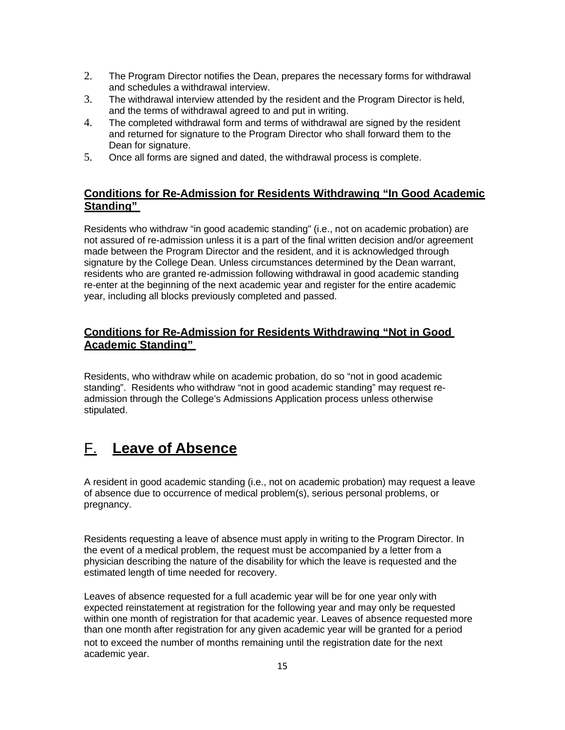- 2. The Program Director notifies the Dean, prepares the necessary forms for withdrawal and schedules a withdrawal interview.
- 3. The withdrawal interview attended by the resident and the Program Director is held, and the terms of withdrawal agreed to and put in writing.
- 4. The completed withdrawal form and terms of withdrawal are signed by the resident and returned for signature to the Program Director who shall forward them to the Dean for signature.
- 5. Once all forms are signed and dated, the withdrawal process is complete.

### **Conditions for Re-Admission for Residents Withdrawing "In Good Academic Standing"**

Residents who withdraw "in good academic standing" (i.e., not on academic probation) are not assured of re-admission unless it is a part of the final written decision and/or agreement made between the Program Director and the resident, and it is acknowledged through signature by the College Dean. Unless circumstances determined by the Dean warrant, residents who are granted re-admission following withdrawal in good academic standing re-enter at the beginning of the next academic year and register for the entire academic year, including all blocks previously completed and passed.

### **Conditions for Re-Admission for Residents Withdrawing "Not in Good Acade mic Standing"**

Residents, who withdraw while on academic probation, do so "not in good academic standing". Residents who withdraw "not in good academic standing" may request readmission through the College's Admissions Application process unless otherwise stipulated.

### F. **Leave of Absence**

A resident in good academic standing (i.e., not on academic probation) may request a leave of absence due to occurrence of medical problem(s), serious personal problems, or pregnancy.

Residents requesting a leave of absence must apply in writing to the Program Director. In the event of a medical problem, the request must be accompanied by a letter from a physician describing the nature of the disability for which the leave is requested and the estimated length of time needed for recovery.

Leaves of absence requested for a full academic year will be for one year only with expected reinstatement at registration for the following year and may only be requested within one month of registration for that academic year. Leaves of absence requested more than one month after registration for any given academic year will be granted for a period not to exceed the number of months remaining until the registration date for the next academic year.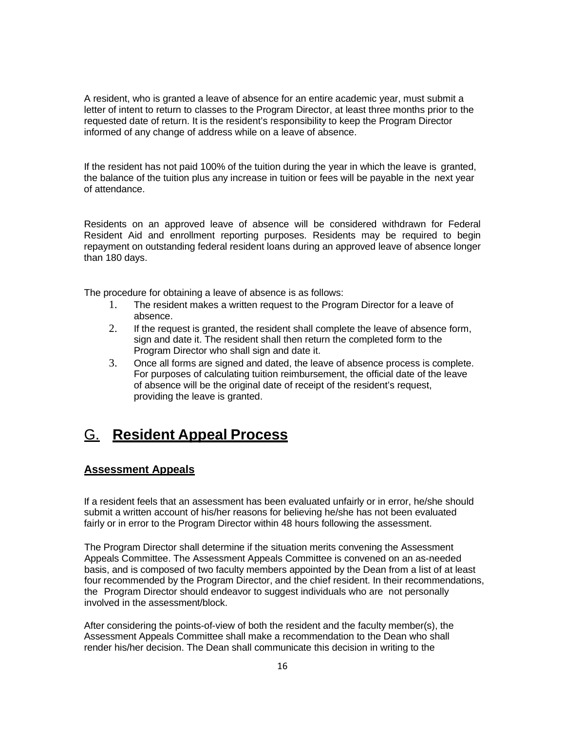A resident, who is granted a leave of absence for an entire academic year, must submit a letter of intent to return to classes to the Program Director, at least three months prior to the requested date of return. It is the resident's responsibility to keep the Program Director informed of any change of address while on a leave of absence.

If the resident has not paid 100% of the tuition during the year in which the leave is granted, the balance of the tuition plus any increase in tuition or fees will be payable in the next year of attendance.

Residents on an approved leave of absence will be considered withdrawn for Federal Resident Aid and enrollment reporting purposes. Residents may be required to begin repayment on outstanding federal resident loans during an approved leave of absence longer than 180 days.

The procedure for obtaining a leave of absence is as follows:

- 1. The resident makes a written request to the Program Director for a leave of absence.
- 2. If the request is granted, the resident shall complete the leave of absence form, sign and date it. The resident shall then return the completed form to the Program Director who shall sign and date it.
- 3. Once all forms are signed and dated, the leave of absence process is complete. For purposes of calculating tuition reimbursement, the official date of the leave of absence will be the original date of receipt of the resident's request, providing the leave is granted.

### G. **Resident Appeal Process**

#### **Assessment Appeals**

If a resident feels that an assessment has been evaluated unfairly or in error, he/she should submit a written account of his/her reasons for believing he/she has not been evaluated fairly or in error to the Program Director within 48 hours following the assessment.

The Program Director shall determine if the situation merits convening the Assessment Appeals Committee. The Assessment Appeals Committee is convened on an as-needed basis, and is composed of two faculty members appointed by the Dean from a list of at least four recommended by the Program Director, and the chief resident. In their recommendations, the Program Director should endeavor to suggest individuals who are not personally involved in the assessment/block.

After considering the points-of-view of both the resident and the faculty member(s), the Assessment Appeals Committee shall make a recommendation to the Dean who shall render his/her decision. The Dean shall communicate this decision in writing to the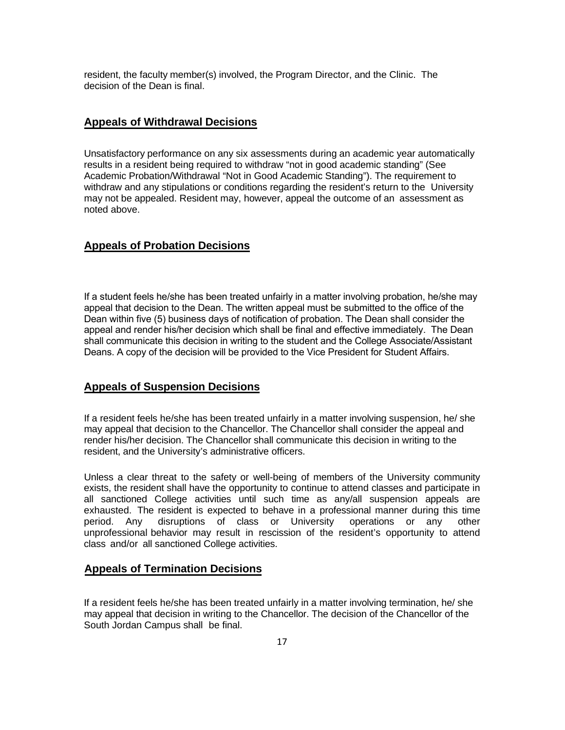resident, the faculty member(s) involved, the Program Director, and the Clinic. The decision of the Dean is final.

#### **Appeals of Withdrawal Decisions**

Unsatisfactory performance on any six assessments during an academic year automatically results in a resident being required to withdraw "not in good academic standing" (See Academic Probation/Withdrawal "Not in Good Academic Standing"). The requirement to withdraw and any stipulations or conditions regarding the resident's return to the University may not be appealed. Resident may, however, appeal the outcome of an assessment as noted above.

#### **Appeals of Probation Decisions**

If a student feels he/she has been treated unfairly in a matter involving probation, he/she may appeal that decision to the Dean. The written appeal must be submitted to the office of the Dean within five (5) business days of notification of probation. The Dean shall consider the appeal and render his/her decision which shall be final and effective immediately. The Dean shall communicate this decision in writing to the student and the College Associate/Assistant Deans. A copy of the decision will be provided to the Vice President for Student Affairs.

#### **Appeals of Suspension Decisions**

If a resident feels he/she has been treated unfairly in a matter involving suspension, he/ she may appeal that decision to the Chancellor. The Chancellor shall consider the appeal and render his/her decision. The Chancellor shall communicate this decision in writing to the resident, and the University's administrative officers.

Unless a clear threat to the safety or well-being of members of the University community exists, the resident shall have the opportunity to continue to attend classes and participate in all sanctioned College activities until such time as any/all suspension appeals are exhausted. The resident is expected to behave in a professional manner during this time period. Any disruptions of class or University operations or any other unprofessional behavior may result in rescission of the resident's opportunity to attend class and/or all sanctioned College activities.

#### **Appeals of Termination Decisions**

If a resident feels he/she has been treated unfairly in a matter involving termination, he/ she may appeal that decision in writing to the Chancellor. The decision of the Chancellor of the South Jordan Campus shall be final.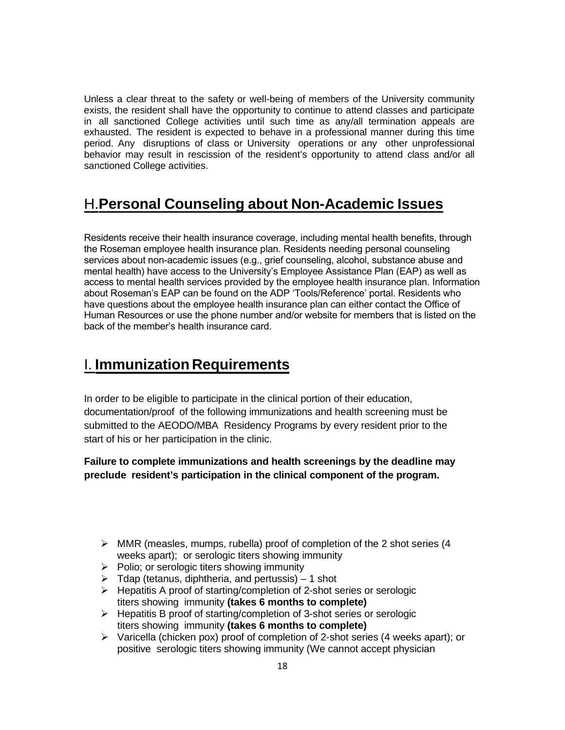Unless a clear threat to the safety or well-being of members of the University community exists, the resident shall have the opportunity to continue to attend classes and participate in all sanctioned College activities until such time as any/all termination appeals are exhausted. The resident is expected to behave in a professional manner during this time period. Any disruptions of class or University operations or any other unprofessional behavior may result in rescission of the resident's opportunity to attend class and/or all sanctioned College activities.

### H.**Personal Counseling about Non-Academic Issues**

Residents receive their health insurance coverage, including mental health benefits, through the Roseman employee health insurance plan. Residents needing personal counseling services about non-academic issues (e.g., grief counseling, alcohol, substance abuse and mental health) have access to the University's Employee Assistance Plan (EAP) as well as access to mental health services provided by the employee health insurance plan. Information about Roseman's EAP can be found on the ADP 'Tools/Reference' portal. Residents who have questions about the employee health insurance plan can either contact the Office of Human Resources or use the phone number and/or website for members that is listed on the back of the member's health insurance card.

### I. **Immunization Requirements**

In order to be eligible to participate in the clinical portion of their education, documentation/proof of the following immunizations and health screening must be submitted to the AEODO/MBA Residency Programs by every resident prior to the start of his or her participation in the clinic.

**Failure to complete immunizations and health screenings by the deadline may preclude resident's participation in the clinical component of the program.**

- $\triangleright$  MMR (measles, mumps, rubella) proof of completion of the 2 shot series (4 weeks apart); or serologic titers showing immunity
- $\triangleright$  Polio; or serologic titers showing immunity
- $\triangleright$  Tdap (tetanus, diphtheria, and pertussis) 1 shot
- $\triangleright$  Hepatitis A proof of starting/completion of 2-shot series or serologic titers showing immunity **(takes 6 months to complete)**
- $\triangleright$  Hepatitis B proof of starting/completion of 3-shot series or serologic titers showing immunity **(takes 6 months to complete)**
- $\triangleright$  Varicella (chicken pox) proof of completion of 2-shot series (4 weeks apart); or positive serologic titers showing immunity (We cannot accept physician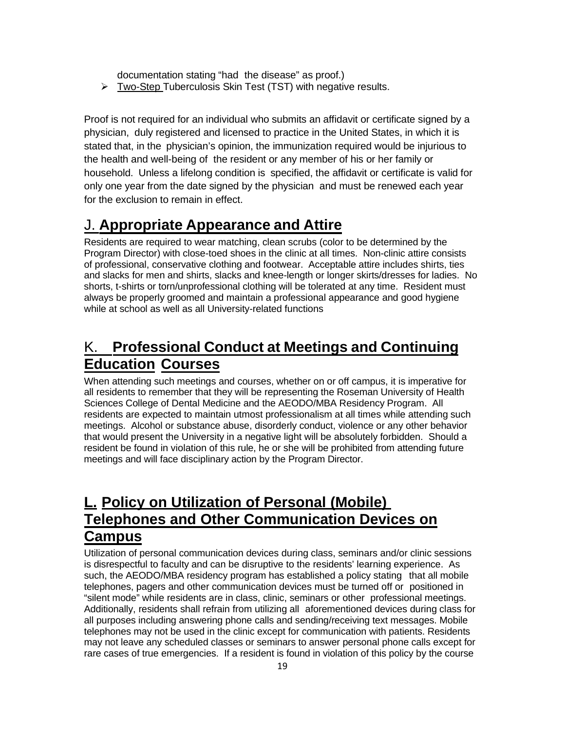documentation stating "had the disease" as proof.)

 $\triangleright$  Two-Step Tuberculosis Skin Test (TST) with negative results.

Proof is not required for an individual who submits an affidavit or certificate signed by a physician, duly registered and licensed to practice in the United States, in which it is stated that, in the physician's opinion, the immunization required would be injurious to the health and well-being of the resident or any member of his or her family or household. Unless a lifelong condition is specified, the affidavit or certificate is valid for only one year from the date signed by the physician and must be renewed each year for the exclusion to remain in effect.

### J. **Appropriate Appearance and Attire**

Residents are required to wear matching, clean scrubs (color to be determined by the Program Director) with close-toed shoes in the clinic at all times. Non-clinic attire consists of professional, conservative clothing and footwear. Acceptable attire includes shirts, ties and slacks for men and shirts, slacks and knee-length or longer skirts/dresses for ladies. No shorts, t-shirts or torn/unprofessional clothing will be tolerated at any time. Resident must always be properly groomed and maintain a professional appearance and good hygiene while at school as well as all University-related functions

### K. **Professional Conduct at Meetings and Continuing Education Courses**

When attending such meetings and courses, whether on or off campus, it is imperative for all residents to remember that they will be representing the Roseman University of Health Sciences College of Dental Medicine and the AEODO/MBA Residency Program. All residents are expected to maintain utmost professionalism at all times while attending such meetings. Alcohol or substance abuse, disorderly conduct, violence or any other behavior that would present the University in a negative light will be absolutely forbidden. Should a resident be found in violation of this rule, he or she will be prohibited from attending future meetings and will face disciplinary action by the Program Director.

### **L. Policy on Utilization of Personal (Mobile) Telephones and Other Communication Devices on Campus**

Utilization of personal communication devices during class, seminars and/or clinic sessions is disrespectful to faculty and can be disruptive to the residents' learning experience. As such, the AEODO/MBA residency program has established a policy stating that all mobile telephones, pagers and other communication devices must be turned off or positioned in "silent mode" while residents are in class, clinic, seminars or other professional meetings. Additionally, residents shall refrain from utilizing all aforementioned devices during class for all purposes including answering phone calls and sending/receiving text messages. Mobile telephones may not be used in the clinic except for communication with patients. Residents may not leave any scheduled classes or seminars to answer personal phone calls except for rare cases of true emergencies. If a resident is found in violation of this policy by the course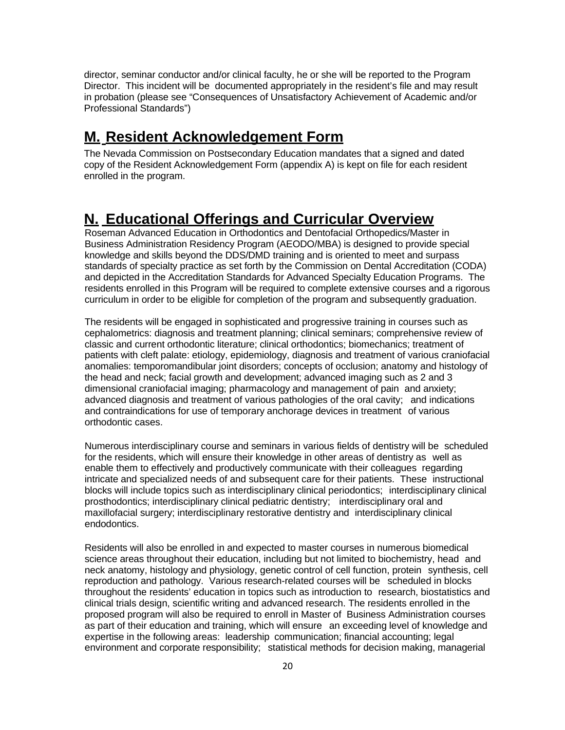director, seminar conductor and/or clinical faculty, he or she will be reported to the Program Director. This incident will be documented appropriately in the resident's file and may result in probation (please see "Consequences of Unsatisfactory Achievement of Academic and/or Professional Standards")

### **M. Resident Acknowledgement Form**

The Nevada Commission on Postsecondary Education mandates that a signed and dated copy of the Resident Acknowledgement Form (appendix A) is kept on file for each resident enrolled in the program.

### **N. Educational Offerings and Curricular Overview**

Roseman Advanced Education in Orthodontics and Dentofacial Orthopedics/Master in Business Administration Residency Program (AEODO/MBA) is designed to provide special knowledge and skills beyond the DDS/DMD training and is oriented to meet and surpass standards of specialty practice as set forth by the Commission on Dental Accreditation (CODA) and depicted in the Accreditation Standards for Advanced Specialty Education Programs. The residents enrolled in this Program will be required to complete extensive courses and a rigorous curriculum in order to be eligible for completion of the program and subsequently graduation.

The residents will be engaged in sophisticated and progressive training in courses such as cephalometrics: diagnosis and treatment planning; clinical seminars; comprehensive review of classic and current orthodontic literature; clinical orthodontics; biomechanics; treatment of patients with cleft palate: etiology, epidemiology, diagnosis and treatment of various craniofacial anomalies: temporomandibular joint disorders; concepts of occlusion; anatomy and histology of the head and neck; facial growth and development; advanced imaging such as 2 and 3 dimensional craniofacial imaging; pharmacology and management of pain and anxiety; advanced diagnosis and treatment of various pathologies of the oral cavity; and indications and contraindications for use of temporary anchorage devices in treatment of various orthodontic cases.

Numerous interdisciplinary course and seminars in various fields of dentistry will be scheduled for the residents, which will ensure their knowledge in other areas of dentistry as well as enable them to effectively and productively communicate with their colleagues regarding intricate and specialized needs of and subsequent care for their patients. These instructional blocks will include topics such as interdisciplinary clinical periodontics; interdisciplinary clinical prosthodontics; interdisciplinary clinical pediatric dentistry; interdisciplinary oral and maxillofacial surgery; interdisciplinary restorative dentistry and interdisciplinary clinical endodontics.

Residents will also be enrolled in and expected to master courses in numerous biomedical science areas throughout their education, including but not limited to biochemistry, head and neck anatomy, histology and physiology, genetic control of cell function, protein synthesis, cell reproduction and pathology. Various research-related courses will be scheduled in blocks throughout the residents' education in topics such as introduction to research, biostatistics and clinical trials design, scientific writing and advanced research. The residents enrolled in the proposed program will also be required to enroll in Master of Business Administration courses as part of their education and training, which will ensure an exceeding level of knowledge and expertise in the following areas: leadership communication; financial accounting; legal environment and corporate responsibility; statistical methods for decision making, managerial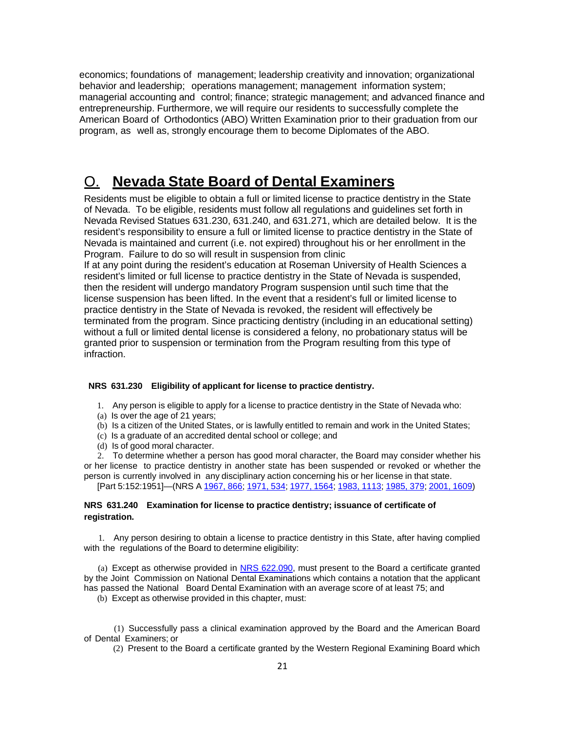economics; foundations of management; leadership creativity and innovation; organizational behavior and leadership; operations management; management information system; managerial accounting and control; finance; strategic management; and advanced finance and entrepreneurship. Furthermore, we will require our residents to successfully complete the American Board of Orthodontics (ABO) Written Examination prior to their graduation from our program, as well as, strongly encourage them to become Diplomates of the ABO.

### <span id="page-20-0"></span>O. **Nevada State Board of Dental Examiners**

Residents must be eligible to obtain a full or limited license to practice dentistry in the State of Nevada. To be eligible, residents must follow all regulations and guidelines set forth in Nevada Revised Statues 631.230, 631.240, and 631.271, which are detailed below. It is the resident's responsibility to ensure a full or limited license to practice dentistry in the State of Nevada is maintained and current (i.e. not expired) throughout his or her enrollment in the Program. Failure to do so will result in suspension from clinic

If at any point during the resident's education at Roseman University of Health Sciences a resident's limited or full license to practice dentistry in the State of Nevada is suspended, then the resident will undergo mandatory Program suspension until such time that the license suspension has been lifted. In the event that a resident's full or limited license to practice dentistry in the State of Nevada is revoked, the resident will effectively be terminated from the program. Since practicing dentistry (including in an educational setting) without a full or limited dental license is considered a felony, no probationary status will be granted prior to suspension or termination from the Program resulting from this type of infraction.

#### **NRS 631.230 Eligibility of applicant for license to practice dentistry.**

- 1. Any person is eligible to apply for a license to practice dentistry in the State of Nevada who:
- (a) Is over the age of 21 years;
- (b) Is a citizen of the United States, or is lawfully entitled to remain and work in the United States;
- (c) Is a graduate of an accredited dental school or college; and
- (d) Is of good moral character.

2. To determine whether a person has good moral character, the Board may consider whether his or her license to practice dentistry in another state has been suspended or revoked or whether the person is currently involved in any disciplinary action concerning his or her license in that state.

[Part 5:152:1951]—(NRS A [1967,](http://www.leg.state.nv.us/Statutes/54th/Stats196705.html#Stats196705page866) 866; [1971,](http://www.leg.state.nv.us/Statutes/56th/Stats197103.html#Stats197103page534) 534; 1977, [1564;](http://www.leg.state.nv.us/Statutes/59th/Stats197707.html#Stats197707page1564) 1983, [1113;](http://www.leg.state.nv.us/Statutes/62nd/Stats198305.html#Stats198305page1113) [1985,](http://www.leg.state.nv.us/Statutes/63rd/Stats198502.html#Stats198502page379) 379; [2001,](http://www.leg.state.nv.us/Statutes/71st/Stats200112.html#Stats200112page1609) 1609)

#### **NRS 631.240 Examination for license to practice dentistry; issuance of certificate of registration.**

1. Any person desiring to obtain a license to practice dentistry in this State, after having complied with the regulations of the Board to determine eligibility:

(a) Except as otherwise provided in NRS [622.090,](http://www.leg.state.nv.us/NRS/NRS-622.html#NRS622Sec090) must present to the Board a certificate granted by the Joint Commission on National Dental Examinations which contains a notation that the applicant has passed the National Board Dental Examination with an average score of at least 75; and

(b) Except as otherwise provided in this chapter, must:

(1) Successfully pass a clinical examination approved by the Board and the American Board of Dental Examiners; or

(2) Present to the Board a certificate granted by the Western Regional Examining Board which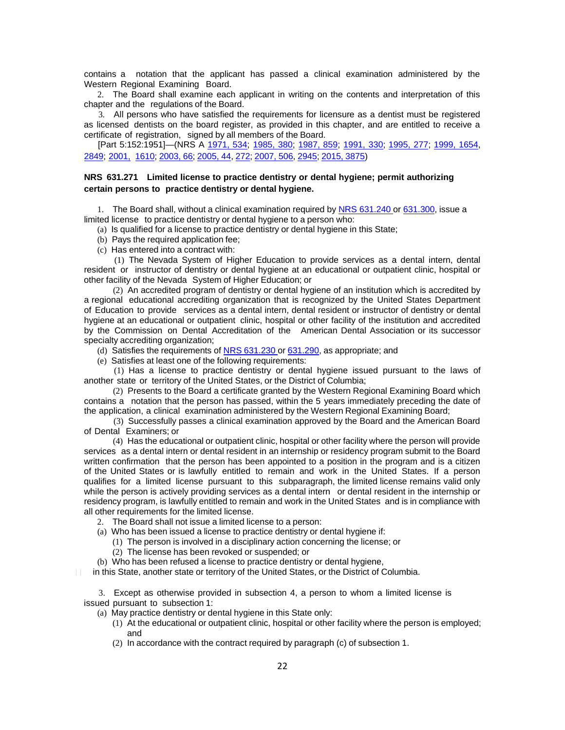contains a notation that the applicant has passed a clinical examination administered by the Western Regional Examining Board.

2. The Board shall examine each applicant in writing on the contents and interpretation of this chapter and the regulations of the Board.

3. All persons who have satisfied the requirements for licensure as a dentist must be registered as licensed dentists on the board register, as provided in this chapter, and are entitled to receive a certificate of registration, signed by all members of the Board.

[Part 5:152:1951]—(NRS A [1971,](http://www.leg.state.nv.us/Statutes/56th/Stats197103.html#Stats197103page534) 534; [1985,](http://www.leg.state.nv.us/Statutes/63rd/Stats198502.html#Stats198502page380) 380; [1987,](http://www.leg.state.nv.us/Statutes/64th/Stats198704.html#Stats198704page859) 859; [1991,](http://www.leg.state.nv.us/Statutes/66th/Stats199102.html#Stats199102page330) 330; [1995,](http://www.leg.state.nv.us/Statutes/68th/Stats199502.html#Stats199502page277) 277; [1999,](http://www.leg.state.nv.us/Statutes/70th/Stats199910.html#Stats199910page1654) 1654, [2849;](http://www.leg.state.nv.us/Statutes/70th/Stats199917.html#Stats199917page2849) [2001,](http://www.leg.state.nv.us/Statutes/71st/Stats200112.html#Stats200112page1610) [1610;](http://www.leg.state.nv.us/Statutes/71st/Stats200112.html#Stats200112page1610) [2003,](http://www.leg.state.nv.us/Statutes/72nd/Stats200301.html#Stats200301page66) 66; [2005,](http://www.leg.state.nv.us/Statutes/73rd/Stats200501.html#Stats200501page44) 44, [272;](http://www.leg.state.nv.us/Statutes/73rd/Stats200503.html#Stats200503page272) [2007,](http://www.leg.state.nv.us/Statutes/74th/Stats200705.html#Stats200705page506) 506, [2945;](http://www.leg.state.nv.us/Statutes/74th/Stats200724.html#Stats200724page2945) 2015, [3875\)](http://www.leg.state.nv.us/Statutes/78th2015/Stats201535.html#Stats201535page3875)

#### **NRS 631.271 Limited license to practice dentistry or dental hygiene; permit authorizing certain persons to practice dentistry or dental hygiene.**

1. The Board shall, without a clinical examination required by NRS [631.240](http://www.leg.state.nv.us/NRS/NRS-631.html#NRS631Sec240) or [631.300,](http://www.leg.state.nv.us/NRS/NRS-631.html#NRS631Sec300) issue a limited license to practice dentistry or dental hygiene to a person who:

(a) Is qualified for a license to practice dentistry or dental hygiene in this State;

- (b) Pays the required application fee;
- (c) Has entered into a contract with:

(1) The Nevada System of Higher Education to provide services as a dental intern, dental resident or instructor of dentistry or dental hygiene at an educational or outpatient clinic, hospital or other facility of the Nevada System of Higher Education; or

(2) An accredited program of dentistry or dental hygiene of an institution which is accredited by a regional educational accrediting organization that is recognized by the United States Department of Education to provide services as a dental intern, dental resident or instructor of dentistry or dental hygiene at an educational or outpatient clinic, hospital or other facility of the institution and accredited by the Commission on Dental Accreditation of the American Dental Association or its successor specialty accrediting organization;

(d) Satisfies the requirements of NRS [631.230](http://www.leg.state.nv.us/NRS/NRS-631.html#NRS631Sec230) or [631.290,](http://www.leg.state.nv.us/NRS/NRS-631.html#NRS631Sec290) as appropriate; and

(e) Satisfies at least one of the following requirements:

(1) Has a license to practice dentistry or dental hygiene issued pursuant to the laws of another state or territory of the United States, or the District of Columbia;

(2) Presents to the Board a certificate granted by the Western Regional Examining Board which contains a notation that the person has passed, within the 5 years immediately preceding the date of the application, a clinical examination administered by the Western Regional Examining Board;

(3) Successfully passes a clinical examination approved by the Board and the American Board of Dental Examiners; or

(4) Has the educational or outpatient clinic, hospital or other facility where the person will provide services as a dental intern or dental resident in an internship or residency program submit to the Board written confirmation that the person has been appointed to a position in the program and is a citizen of the United States or is lawfully entitled to remain and work in the United States. If a person qualifies for a limited license pursuant to this subparagraph, the limited license remains valid only while the person is actively providing services as a dental intern or dental resident in the internship or residency program, is lawfully entitled to remain and work in the United States and is in compliance with all other requirements for the limited license.

2. The Board shall not issue a limited license to a person:

- (a) Who has been issued a license to practice dentistry or dental hygiene if:
	- (1) The person is involved in a disciplinary action concerning the license; or
	- (2) The license has been revoked or suspended; or

(b) Who has been refused a license to practice dentistry or dental hygiene,

in this State, another state or territory of the United States, or the District of Columbia.

3. Except as otherwise provided in subsection 4, a person to whom a limited license is issued pursuant to subsection 1:

(a) May practice dentistry or dental hygiene in this State only:

- (1) At the educational or outpatient clinic, hospital or other facility where the person is employed; and
- (2) In accordance with the contract required by paragraph (c) of subsection 1.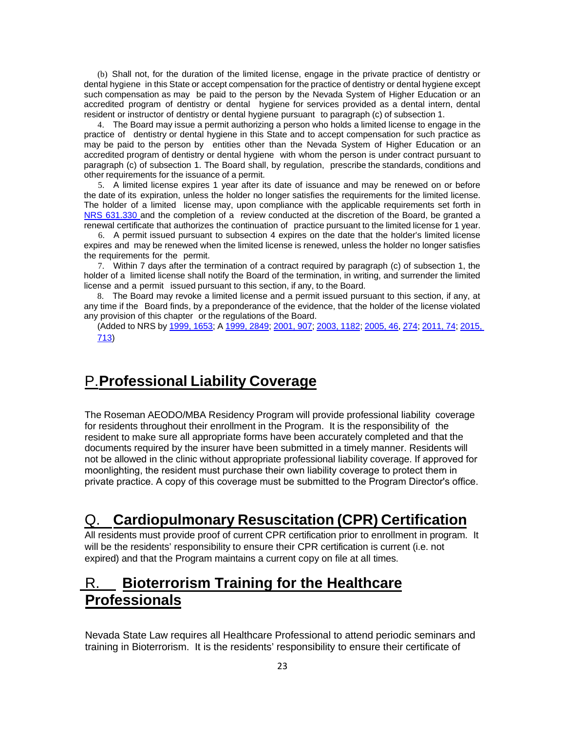(b) Shall not, for the duration of the limited license, engage in the private practice of dentistry or dental hygiene in this State or accept compensation for the practice of dentistry or dental hygiene except such compensation as may be paid to the person by the Nevada System of Higher Education or an accredited program of dentistry or dental hygiene for services provided as a dental intern, dental resident or instructor of dentistry or dental hygiene pursuant to paragraph (c) of subsection 1.

4. The Board may issue a permit authorizing a person who holds a limited license to engage in the practice of dentistry or dental hygiene in this State and to accept compensation for such practice as may be paid to the person by entities other than the Nevada System of Higher Education or an accredited program of dentistry or dental hygiene with whom the person is under contract pursuant to paragraph (c) of subsection 1. The Board shall, by regulation, prescribe the standards, conditions and other requirements for the issuance of a permit.

5. A limited license expires 1 year after its date of issuance and may be renewed on or before the date of its expiration, unless the holder no longer satisfies the requirements for the limited license. The holder of a limited license may, upon compliance with the applicable requirements set forth in NRS [631.330 a](http://www.leg.state.nv.us/NRS/NRS-631.html#NRS631Sec330)nd the completion of a review conducted at the discretion of the Board, be granted a renewal certificate that authorizes the continuation of practice pursuant to the limited license for 1 year.

6. A permit issued pursuant to subsection 4 expires on the date that the holder's limited license expires and may be renewed when the limited license is renewed, unless the holder no longer satisfies the requirements for the permit.

7. Within 7 days after the termination of a contract required by paragraph (c) of subsection 1, the holder of a limited license shall notify the Board of the termination, in writing, and surrender the limited license and a permit issued pursuant to this section, if any, to the Board.

8. The Board may revoke a limited license and a permit issued pursuant to this section, if any, at any time if the Board finds, by a preponderance of the evidence, that the holder of the license violated any provision of this chapter or the regulations of the Board.

(Added to NRS by 1999, [1653;](http://www.leg.state.nv.us/Statutes/70th/Stats199910.html#Stats199910page1653) [A 1999,](http://www.leg.state.nv.us/Statutes/70th/Stats199917.html#Stats199917page2849) 2849; [2001,](http://www.leg.state.nv.us/Statutes/71st/Stats200107.html#Stats200107page907) 907; 2003, [1182;](http://www.leg.state.nv.us/Statutes/72nd/Stats200309.html#Stats200309page1182) [2005,](http://www.leg.state.nv.us/Statutes/73rd/Stats200501.html#Stats200501page46) 46, [274;](http://www.leg.state.nv.us/Statutes/73rd/Stats200503.html#Stats200503page274) [2011,](http://www.leg.state.nv.us/Statutes/76th2011/Stats201101.html#Stats201101page74) 74; [2015,](http://www.leg.state.nv.us/Statutes/78th2015/Stats201507.html#Stats201507page713) [713\)](http://www.leg.state.nv.us/Statutes/78th2015/Stats201507.html#Stats201507page713)

### <span id="page-22-0"></span>P.**Professional Liability Coverage**

The Roseman AEODO/MBA Residency Program will provide professional liability coverage for residents throughout their enrollment in the Program. It is the responsibility of the resident to make sure all appropriate forms have been accurately completed and that the documents required by the insurer have been submitted in a timely manner. Residents will not be allowed in the clinic without appropriate professional liability coverage. If approved for moonlighting, the resident must purchase their own liability coverage to protect them in private practice. A copy of this coverage must be submitted to the Program Director's office.

### <span id="page-22-1"></span>Q. **Cardiopulmonary Resuscitation (CPR) Certification**

All residents must provide proof of current CPR certification prior to enrollment in program. It will be the residents' responsibility to ensure their CPR certification is current (i.e. not expired) and that the Program maintains a current copy on file at all times.

### R. **Bioterrorism Training for the Healthcare Professionals**

Nevada State Law requires all Healthcare Professional to attend periodic seminars and training in Bioterrorism. It is the residents' responsibility to ensure their certificate of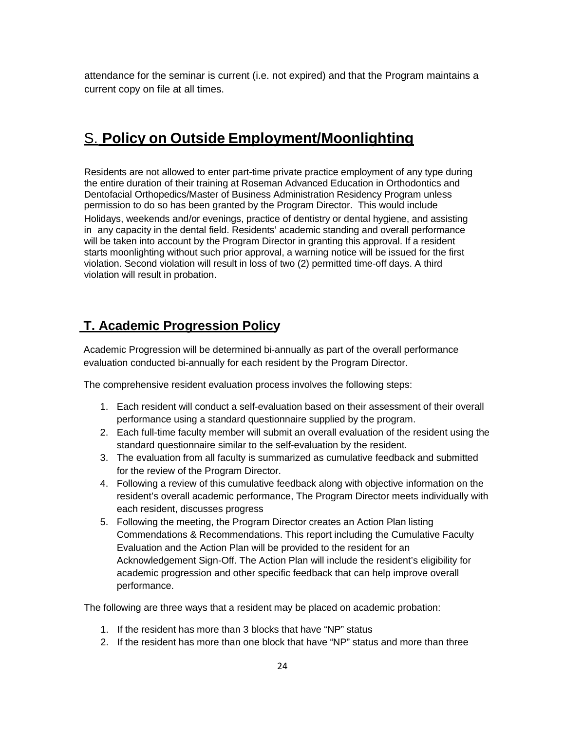attendance for the seminar is current (i.e. not expired) and that the Program maintains a current copy on file at all times.

### <span id="page-23-0"></span>S. **Policy on Outside Employment/Moonlighting**

Residents are not allowed to enter part-time private practice employment of any type during the entire duration of their training at Roseman Advanced Education in Orthodontics and Dentofacial Orthopedics/Master of Business Administration Residency Program unless permission to do so has been granted by the Program Director. This would include

Holidays, weekends and/or evenings, practice of dentistry or dental hygiene, and assisting in any capacity in the dental field. Residents' academic standing and overall performance will be taken into account by the Program Director in granting this approval. If a resident starts moonlighting without such prior approval, a warning notice will be issued for the first violation. Second violation will result in loss of two (2) permitted time-off days. A third violation will result in probation.

### **T. Academic Progression Policy**

Academic Progression will be determined bi-annually as part of the overall performance evaluation conducted bi-annually for each resident by the Program Director.

The comprehensive resident evaluation process involves the following steps:

- 1. Each resident will conduct a self-evaluation based on their assessment of their overall performance using a standard questionnaire supplied by the program.
- 2. Each full-time faculty member will submit an overall evaluation of the resident using the standard questionnaire similar to the self-evaluation by the resident.
- 3. The evaluation from all faculty is summarized as cumulative feedback and submitted for the review of the Program Director.
- 4. Following a review of this cumulative feedback along with objective information on the resident's overall academic performance, The Program Director meets individually with each resident, discusses progress
- 5. Following the meeting, the Program Director creates an Action Plan listing Commendations & Recommendations. This report including the Cumulative Faculty Evaluation and the Action Plan will be provided to the resident for an Acknowledgement Sign-Off. The Action Plan will include the resident's eligibility for academic progression and other specific feedback that can help improve overall performance.

The following are three ways that a resident may be placed on academic probation:

- 1. If the resident has more than 3 blocks that have "NP" status
- 2. If the resident has more than one block that have "NP" status and more than three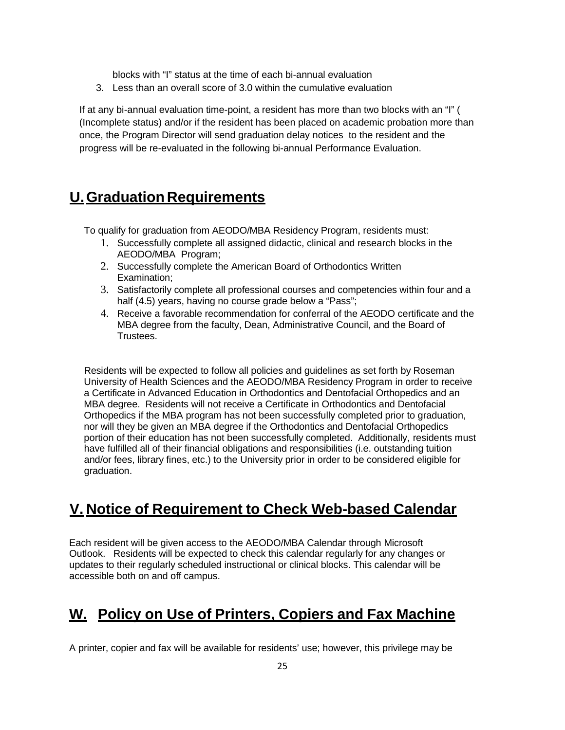blocks with "I" status at the time of each bi-annual evaluation

3. Less than an overall score of 3.0 within the cumulative evaluation

If at any bi-annual evaluation time-point, a resident has more than two blocks with an "I" ( (Incomplete status) and/or if the resident has been placed on academic probation more than once, the Program Director will send graduation delay notices to the resident and the progress will be re-evaluated in the following bi-annual Performance Evaluation.

### <span id="page-24-0"></span>**U. Graduation Requirements**

To qualify for graduation from AEODO/MBA Residency Program, residents must:

- 1. Successfully complete all assigned didactic, clinical and research blocks in the AEODO/MBA Program;
- 2. Successfully complete the American Board of Orthodontics Written Examination;
- 3. Satisfactorily complete all professional courses and competencies within four and a half (4.5) years, having no course grade below a "Pass";
- 4. Receive a favorable recommendation for conferral of the AEODO certificate and the MBA degree from the faculty, Dean, Administrative Council, and the Board of Trustees.

Residents will be expected to follow all policies and guidelines as set forth by Roseman University of Health Sciences and the AEODO/MBA Residency Program in order to receive a Certificate in Advanced Education in Orthodontics and Dentofacial Orthopedics and an MBA degree. Residents will not receive a Certificate in Orthodontics and Dentofacial Orthopedics if the MBA program has not been successfully completed prior to graduation, nor will they be given an MBA degree if the Orthodontics and Dentofacial Orthopedics portion of their education has not been successfully completed. Additionally, residents must have fulfilled all of their financial obligations and responsibilities (i.e. outstanding tuition and/or fees, library fines, etc.) to the University prior in order to be considered eligible for graduation.

### <span id="page-24-1"></span>**V. Notice of Requirement to Check Web-based Calendar**

Each resident will be given access to the AEODO/MBA Calendar through Microsoft Outlook. Residents will be expected to check this calendar regularly for any changes or updates to their regularly scheduled instructional or clinical blocks. This calendar will be accessible both on and off campus.

### <span id="page-24-2"></span>**W. Policy on Use of Printers, Copiers and Fax Machine**

A printer, copier and fax will be available for residents' use; however, this privilege may be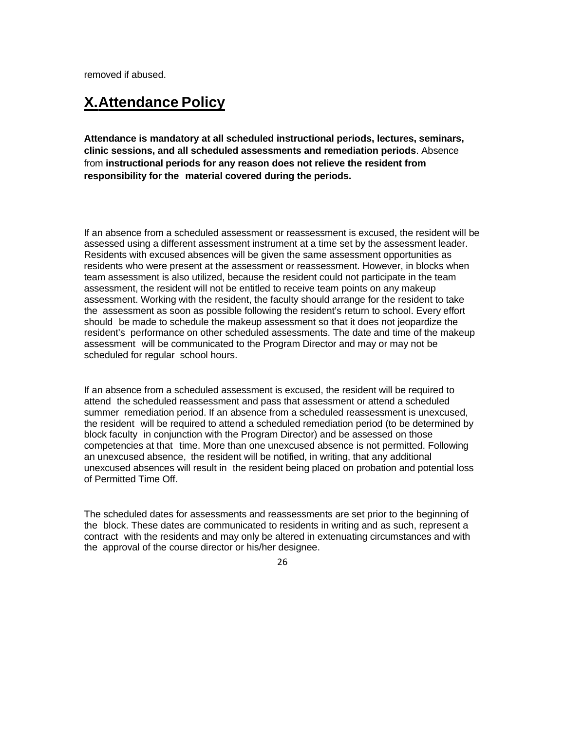removed if abused.

### <span id="page-25-0"></span>**X.Attendance Policy**

**Attendance is mandatory at all scheduled instructional periods, lectures, seminars, clinic sessions, and all scheduled assessments and remediation periods**. Absence from **instructional periods for any reason does not relieve the resident from responsibility for the material covered during the periods.** 

If an absence from a scheduled assessment or reassessment is excused, the resident will be assessed using a different assessment instrument at a time set by the assessment leader. Residents with excused absences will be given the same assessment opportunities as residents who were present at the assessment or reassessment. However, in blocks when team assessment is also utilized, because the resident could not participate in the team assessment, the resident will not be entitled to receive team points on any makeup assessment. Working with the resident, the faculty should arrange for the resident to take the assessment as soon as possible following the resident's return to school. Every effort should be made to schedule the makeup assessment so that it does not jeopardize the resident's performance on other scheduled assessments. The date and time of the makeup assessment will be communicated to the Program Director and may or may not be scheduled for regular school hours.

If an absence from a scheduled assessment is excused, the resident will be required to attend the scheduled reassessment and pass that assessment or attend a scheduled summer remediation period. If an absence from a scheduled reassessment is unexcused, the resident will be required to attend a scheduled remediation period (to be determined by block faculty in conjunction with the Program Director) and be assessed on those competencies at that time. More than one unexcused absence is not permitted. Following an unexcused absence, the resident will be notified, in writing, that any additional unexcused absences will result in the resident being placed on probation and potential loss of Permitted Time Off.

The scheduled dates for assessments and reassessments are set prior to the beginning of the block. These dates are communicated to residents in writing and as such, represent a contract with the residents and may only be altered in extenuating circumstances and with the approval of the course director or his/her designee.

26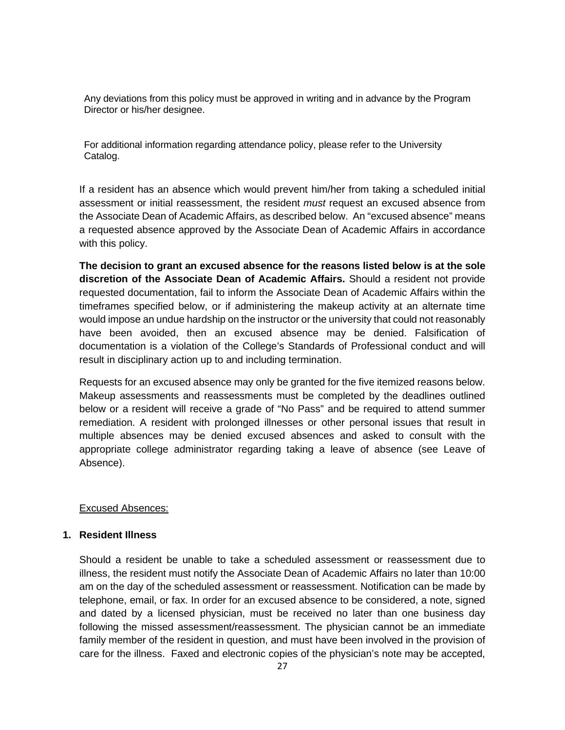Any deviations from this policy must be approved in writing and in advance by the Program Director or his/her designee.

For additional information regarding attendance policy, please refer to the University Catalog.

If a resident has an absence which would prevent him/her from taking a scheduled initial assessment or initial reassessment, the resident *must* request an excused absence from the Associate Dean of Academic Affairs, as described below. An "excused absence" means a requested absence approved by the Associate Dean of Academic Affairs in accordance with this policy.

**The decision to grant an excused absence for the reasons listed below is at the sole discretion of the Associate Dean of Academic Affairs.** Should a resident not provide requested documentation, fail to inform the Associate Dean of Academic Affairs within the timeframes specified below, or if administering the makeup activity at an alternate time would impose an undue hardship on the instructor or the university that could not reasonably have been avoided, then an excused absence may be denied. Falsification of documentation is a violation of the College's Standards of Professional conduct and will result in disciplinary action up to and including termination.

Requests for an excused absence may only be granted for the five itemized reasons below. Makeup assessments and reassessments must be completed by the deadlines outlined below or a resident will receive a grade of "No Pass" and be required to attend summer remediation. A resident with prolonged illnesses or other personal issues that result in multiple absences may be denied excused absences and asked to consult with the appropriate college administrator regarding taking a leave of absence (see Leave of Absence).

#### Excused Absences:

#### **1. Resident Illness**

Should a resident be unable to take a scheduled assessment or reassessment due to illness, the resident must notify the Associate Dean of Academic Affairs no later than 10:00 am on the day of the scheduled assessment or reassessment. Notification can be made by telephone, email, or fax. In order for an excused absence to be considered, a note, signed and dated by a licensed physician, must be received no later than one business day following the missed assessment/reassessment. The physician cannot be an immediate family member of the resident in question, and must have been involved in the provision of care for the illness. Faxed and electronic copies of the physician's note may be accepted,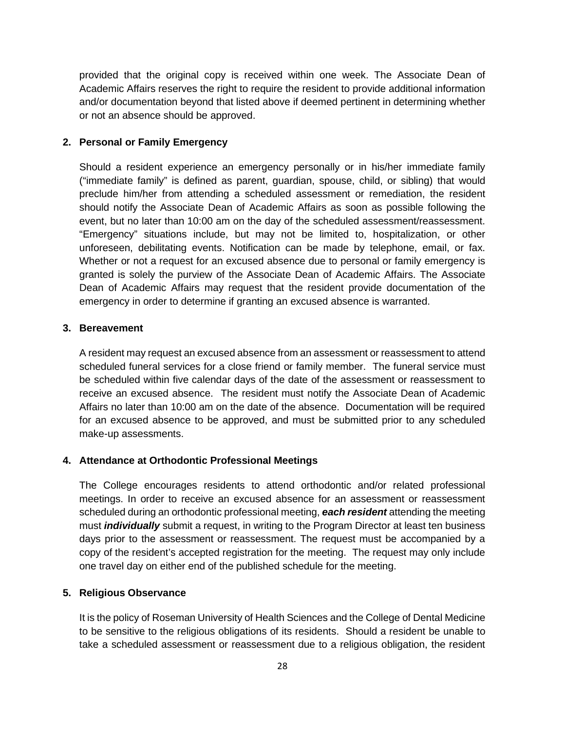provided that the original copy is received within one week. The Associate Dean of Academic Affairs reserves the right to require the resident to provide additional information and/or documentation beyond that listed above if deemed pertinent in determining whether or not an absence should be approved.

#### **2. Personal or Family Emergency**

Should a resident experience an emergency personally or in his/her immediate family ("immediate family" is defined as parent, guardian, spouse, child, or sibling) that would preclude him/her from attending a scheduled assessment or remediation, the resident should notify the Associate Dean of Academic Affairs as soon as possible following the event, but no later than 10:00 am on the day of the scheduled assessment/reassessment. "Emergency" situations include, but may not be limited to, hospitalization, or other unforeseen, debilitating events. Notification can be made by telephone, email, or fax. Whether or not a request for an excused absence due to personal or family emergency is granted is solely the purview of the Associate Dean of Academic Affairs. The Associate Dean of Academic Affairs may request that the resident provide documentation of the emergency in order to determine if granting an excused absence is warranted.

#### **3. Bereavement**

A resident may request an excused absence from an assessment or reassessment to attend scheduled funeral services for a close friend or family member. The funeral service must be scheduled within five calendar days of the date of the assessment or reassessment to receive an excused absence. The resident must notify the Associate Dean of Academic Affairs no later than 10:00 am on the date of the absence. Documentation will be required for an excused absence to be approved, and must be submitted prior to any scheduled make-up assessments.

#### **4. Attendance at Orthodontic Professional Meetings**

The College encourages residents to attend orthodontic and/or related professional meetings. In order to receive an excused absence for an assessment or reassessment scheduled during an orthodontic professional meeting, *each resident* attending the meeting must *individually* submit a request, in writing to the Program Director at least ten business days prior to the assessment or reassessment. The request must be accompanied by a copy of the resident's accepted registration for the meeting. The request may only include one travel day on either end of the published schedule for the meeting.

#### **5. Religious Observance**

It is the policy of Roseman University of Health Sciences and the College of Dental Medicine to be sensitive to the religious obligations of its residents. Should a resident be unable to take a scheduled assessment or reassessment due to a religious obligation, the resident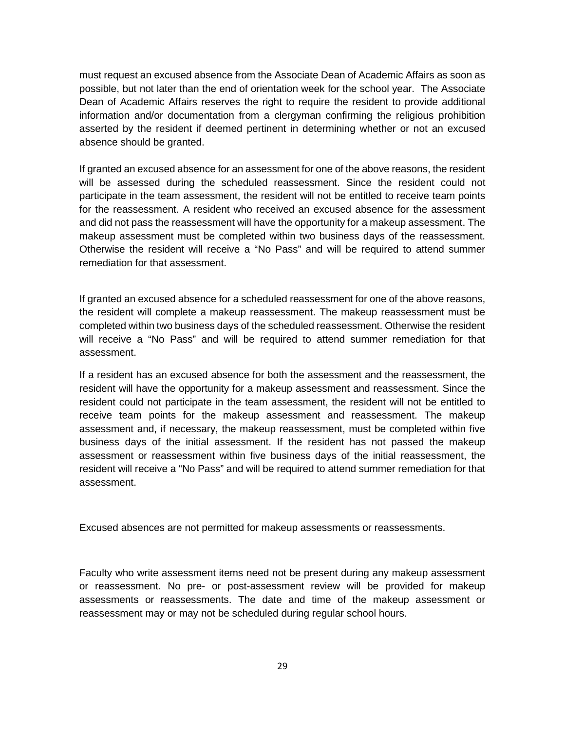must request an excused absence from the Associate Dean of Academic Affairs as soon as possible, but not later than the end of orientation week for the school year. The Associate Dean of Academic Affairs reserves the right to require the resident to provide additional information and/or documentation from a clergyman confirming the religious prohibition asserted by the resident if deemed pertinent in determining whether or not an excused absence should be granted.

If granted an excused absence for an assessment for one of the above reasons, the resident will be assessed during the scheduled reassessment. Since the resident could not participate in the team assessment, the resident will not be entitled to receive team points for the reassessment. A resident who received an excused absence for the assessment and did not pass the reassessment will have the opportunity for a makeup assessment. The makeup assessment must be completed within two business days of the reassessment. Otherwise the resident will receive a "No Pass" and will be required to attend summer remediation for that assessment.

If granted an excused absence for a scheduled reassessment for one of the above reasons, the resident will complete a makeup reassessment. The makeup reassessment must be completed within two business days of the scheduled reassessment. Otherwise the resident will receive a "No Pass" and will be required to attend summer remediation for that assessment.

If a resident has an excused absence for both the assessment and the reassessment, the resident will have the opportunity for a makeup assessment and reassessment. Since the resident could not participate in the team assessment, the resident will not be entitled to receive team points for the makeup assessment and reassessment. The makeup assessment and, if necessary, the makeup reassessment, must be completed within five business days of the initial assessment. If the resident has not passed the makeup assessment or reassessment within five business days of the initial reassessment, the resident will receive a "No Pass" and will be required to attend summer remediation for that assessment.

Excused absences are not permitted for makeup assessments or reassessments.

Faculty who write assessment items need not be present during any makeup assessment or reassessment. No pre- or post-assessment review will be provided for makeup assessments or reassessments. The date and time of the makeup assessment or reassessment may or may not be scheduled during regular school hours.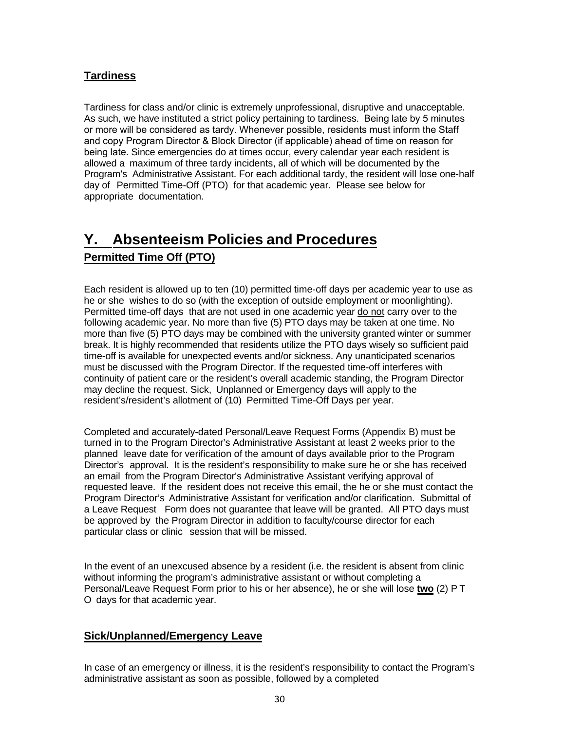### **Tardiness**

Tardiness for class and/or clinic is extremely unprofessional, disruptive and unacceptable. As such, we have instituted a strict policy pertaining to tardiness. Being late by 5 minutes or more will be considered as tardy. Whenever possible, residents must inform the Staff and copy Program Director & Block Director (if applicable) ahead of time on reason for being late. Since emergencies do at times occur, every calendar year each resident is allowed a maximum of three tardy incidents, all of which will be documented by the Program's Administrative Assistant. For each additional tardy, the resident will lose one-half day of Permitted Time-Off (PTO) for that academic year. Please see below for appropriate documentation.

### **Y. Absenteeism Policies and Procedures Permitted Time Off (PTO)**

Each resident is allowed up to ten (10) permitted time-off days per academic year to use as he or she wishes to do so (with the exception of outside employment or moonlighting). Permitted time-off days that are not used in one academic year do not carry over to the following academic year. No more than five (5) PTO days may be taken at one time. No more than five (5) PTO days may be combined with the university granted winter or summer break. It is highly recommended that residents utilize the PTO days wisely so sufficient paid time-off is available for unexpected events and/or sickness. Any unanticipated scenarios must be discussed with the Program Director. If the requested time-off interferes with continuity of patient care or the resident's overall academic standing, the Program Director may decline the request. Sick, Unplanned or Emergency days will apply to the resident's/resident's allotment of (10) Permitted Time-Off Days per year.

Completed and accurately-dated Personal/Leave Request Forms (Appendix B) must be turned in to the Program Director's Administrative Assistant at least 2 weeks prior to the planned leave date for verification of the amount of days available prior to the Program Director's approval. It is the resident's responsibility to make sure he or she has received an email from the Program Director's Administrative Assistant verifying approval of requested leave. If the resident does not receive this email, the he or she must contact the Program Director's Administrative Assistant for verification and/or clarification. Submittal of a Leave Request Form does not guarantee that leave will be granted. All PTO days must be approved by the Program Director in addition to faculty/course director for each particular class or clinic session that will be missed.

In the event of an unexcused absence by a resident (i.e. the resident is absent from clinic without informing the program's administrative assistant or without completing a Personal/Leave Request Form prior to his or her absence), he or she will lose **two** (2) P T O days for that academic year.

### **Sick/Unplanned/Emergency Leave**

In case of an emergency or illness, it is the resident's responsibility to contact the Program's administrative assistant as soon as possible, followed by a completed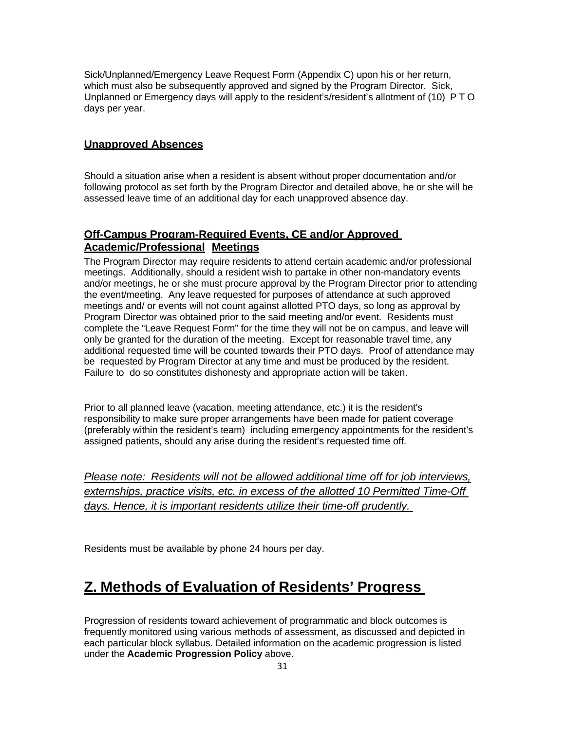Sick/Unplanned/Emergency Leave Request Form (Appendix C) upon his or her return, which must also be subsequently approved and signed by the Program Director. Sick, Unplanned or Emergency days will apply to the resident's/resident's allotment of (10) PTO days per year.

### **Unapproved Absences**

Should a situation arise when a resident is absent without proper documentation and/or following protocol as set forth by the Program Director and detailed above, he or she will be assessed leave time of an additional day for each unapproved absence day.

### **Off-Campus Program-Required Events, CE and/or Approved Academic/Professional Meetings**

The Program Director may require residents to attend certain academic and/or professional meetings. Additionally, should a resident wish to partake in other non-mandatory events and/or meetings, he or she must procure approval by the Program Director prior to attending the event/meeting. Any leave requested for purposes of attendance at such approved meetings and/ or events will not count against allotted PTO days, so long as approval by Program Director was obtained prior to the said meeting and/or event. Residents must complete the "Leave Request Form" for the time they will not be on campus, and leave will only be granted for the duration of the meeting. Except for reasonable travel time, any additional requested time will be counted towards their PTO days. Proof of attendance may be requested by Program Director at any time and must be produced by the resident. Failure to do so constitutes dishonesty and appropriate action will be taken.

Prior to all planned leave (vacation, meeting attendance, etc.) it is the resident's responsibility to make sure proper arrangements have been made for patient coverage (preferably within the resident's team) including emergency appointments for the resident's assigned patients, should any arise during the resident's requested time off.

*Please note: Residents will not be allowed additional time off for job interviews, externships, practice visits, etc. in excess of the allotted 10 Permitted Time-Off days. Hence, it is important residents utilize their time-off prudently.* 

Residents must be available by phone 24 hours per day.

### **Z. Methods of Evaluation of Residents' Progress**

Progression of residents toward achievement of programmatic and block outcomes is frequently monitored using various methods of assessment, as discussed and depicted in each particular block syllabus. Detailed information on the academic progression is listed under the **Academic Progression Policy** above.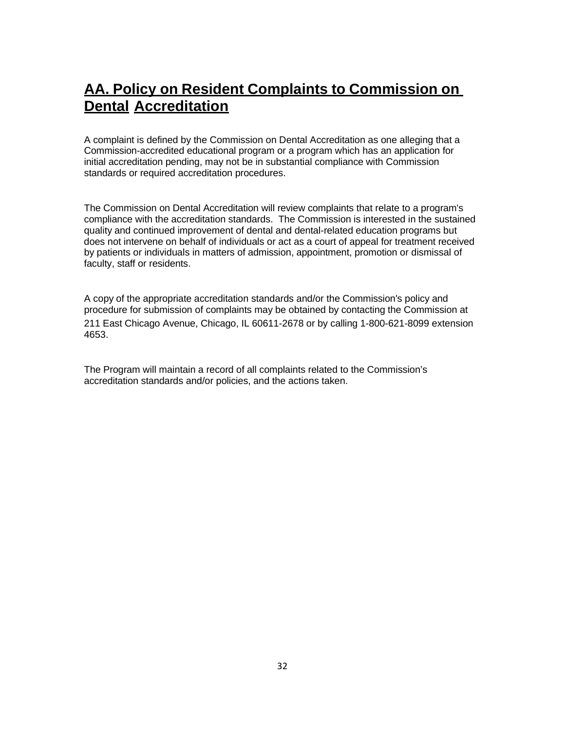### **AA. Policy on Resident Complaints to Commission on Dental Accreditation**

A complaint is defined by the Commission on Dental Accreditation as one alleging that a Commission-accredited educational program or a program which has an application for initial accreditation pending, may not be in substantial compliance with Commission standards or required accreditation procedures.

The Commission on Dental Accreditation will review complaints that relate to a program's compliance with the accreditation standards. The Commission is interested in the sustained quality and continued improvement of dental and dental-related education programs but does not intervene on behalf of individuals or act as a court of appeal for treatment received by patients or individuals in matters of admission, appointment, promotion or dismissal of faculty, staff or residents.

A copy of the appropriate accreditation standards and/or the Commission's policy and procedure for submission of complaints may be obtained by contacting the Commission at 211 East Chicago Avenue, Chicago, IL 60611-2678 or by calling 1-800-621-8099 extension 4653.

The Program will maintain a record of all complaints related to the Commission's accreditation standards and/or policies, and the actions taken.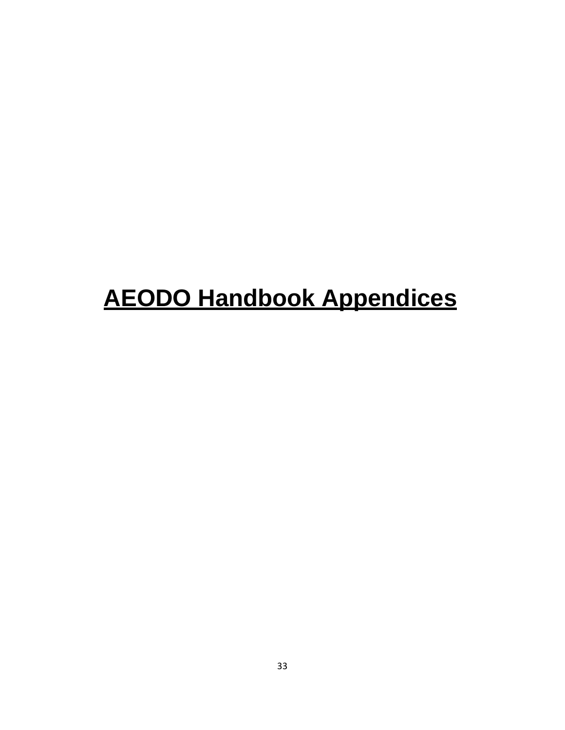# **AEODO Handbook Appendices**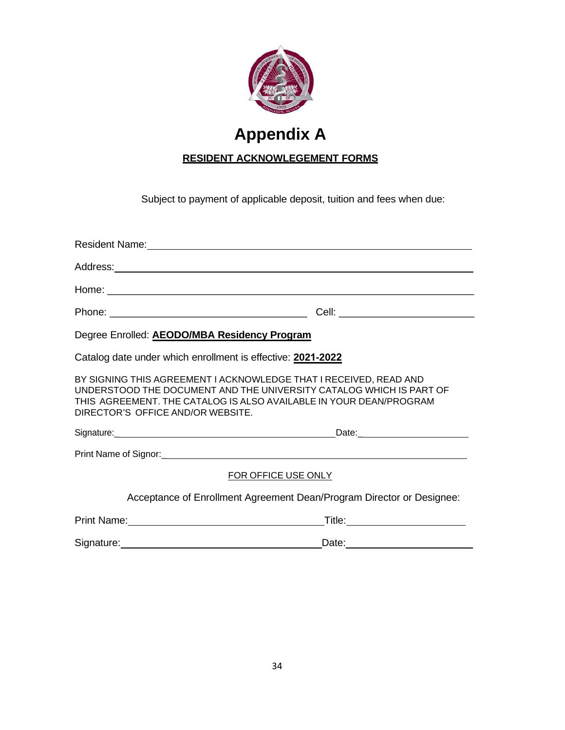

## **Appendix A**

### **RESIDENT ACKNOWLEGEMENT FORMS**

Subject to payment of applicable deposit, tuition and fees when due:

| Degree Enrolled: AEODO/MBA Residency Program                                                                                                                                                                                                        |                                                                                                                                                                                                                                      |  |  |
|-----------------------------------------------------------------------------------------------------------------------------------------------------------------------------------------------------------------------------------------------------|--------------------------------------------------------------------------------------------------------------------------------------------------------------------------------------------------------------------------------------|--|--|
| Catalog date under which enrollment is effective: 2021-2022                                                                                                                                                                                         |                                                                                                                                                                                                                                      |  |  |
| BY SIGNING THIS AGREEMENT I ACKNOWLEDGE THAT I RECEIVED, READ AND<br>UNDERSTOOD THE DOCUMENT AND THE UNIVERSITY CATALOG WHICH IS PART OF<br>THIS AGREEMENT. THE CATALOG IS ALSO AVAILABLE IN YOUR DEAN/PROGRAM<br>DIRECTOR'S OFFICE AND/OR WEBSITE. |                                                                                                                                                                                                                                      |  |  |
|                                                                                                                                                                                                                                                     |                                                                                                                                                                                                                                      |  |  |
|                                                                                                                                                                                                                                                     |                                                                                                                                                                                                                                      |  |  |
| FOR OFFICE USE ONLY                                                                                                                                                                                                                                 |                                                                                                                                                                                                                                      |  |  |
| Acceptance of Enrollment Agreement Dean/Program Director or Designee:                                                                                                                                                                               |                                                                                                                                                                                                                                      |  |  |
| Print Name: Name: Name and Security and Security and Security and Security and Security and Security and Security and Security and Security and Security and Security and Security and Security and Security and Security and                       | Title: <u>www.community.com and the series of the series of the series of the series of the series of the series of the series of the series of the series of the series of the series of the series of the series of the series</u> |  |  |
| Signature: Management Contract Contract Contract Contract Contract Contract Contract Contract Contract Contract Contract Contract Contract Contract Contract Contract Contract Contract Contract Contract Contract Contract Co                      |                                                                                                                                                                                                                                      |  |  |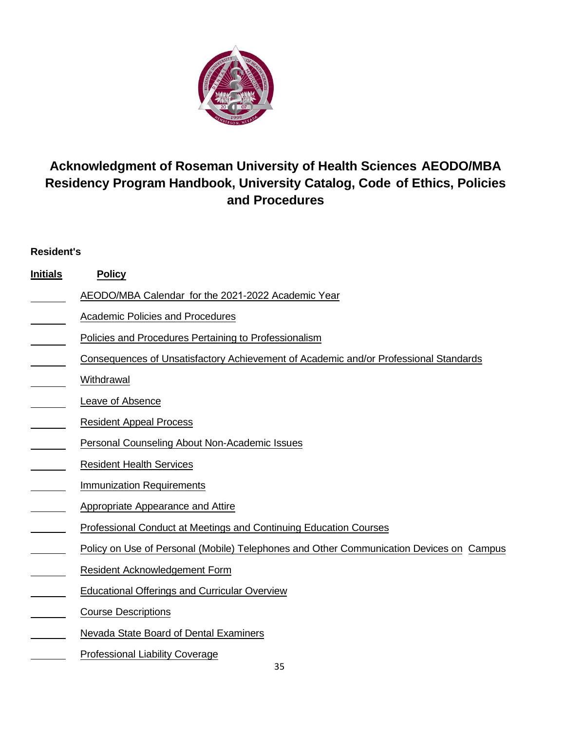

### **Acknowledgment of Roseman University of Health Sciences AEODO/MBA Residency Program Handbook, University Catalog, Code of Ethics, Policies and Procedures**

### **Resident's**

| <b>Initials</b> | <b>Policy</b>                                                                           |
|-----------------|-----------------------------------------------------------------------------------------|
|                 | AEODO/MBA Calendar for the 2021-2022 Academic Year                                      |
|                 | <b>Academic Policies and Procedures</b>                                                 |
|                 | Policies and Procedures Pertaining to Professionalism                                   |
|                 | Consequences of Unsatisfactory Achievement of Academic and/or Professional Standards    |
|                 | Withdrawal                                                                              |
|                 | Leave of Absence                                                                        |
|                 | <b>Resident Appeal Process</b>                                                          |
|                 | <b>Personal Counseling About Non-Academic Issues</b>                                    |
|                 | <b>Resident Health Services</b>                                                         |
|                 | <b>Immunization Requirements</b>                                                        |
|                 | <b>Appropriate Appearance and Attire</b>                                                |
|                 | Professional Conduct at Meetings and Continuing Education Courses                       |
|                 | Policy on Use of Personal (Mobile) Telephones and Other Communication Devices on Campus |
|                 | Resident Acknowledgement Form                                                           |
|                 | <b>Educational Offerings and Curricular Overview</b>                                    |
|                 | <b>Course Descriptions</b>                                                              |
|                 | Nevada State Board of Dental Examiners                                                  |
|                 | <b>Professional Liability Coverage</b>                                                  |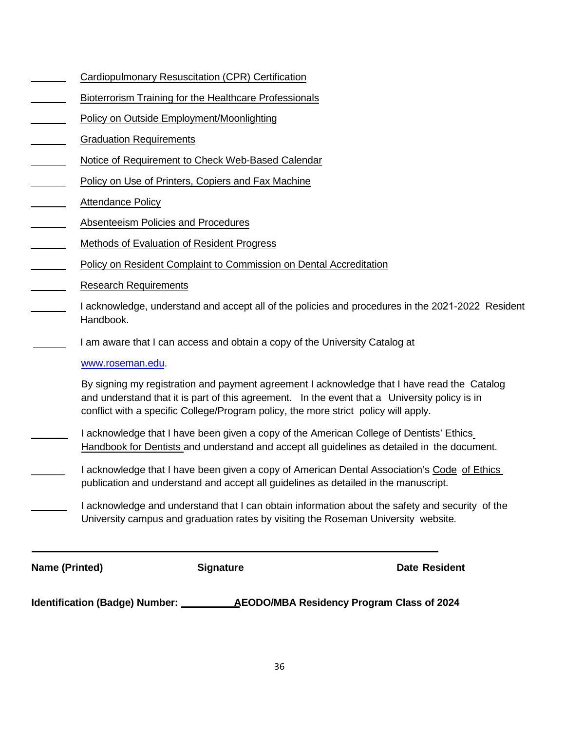|  |  | Cardiopulmonary Resuscitation (CPR) Certification |
|--|--|---------------------------------------------------|
|--|--|---------------------------------------------------|

- Bioterrorism Training for the Healthcare Professionals
- Policy on Outside Employment/Moonlighting
- Graduation Requirements
- Notice of Requirement to Check Web-Based Calendar
- Policy on Use of Printers, Copiers and Fax Machine
- Attendance Policy
- Absenteeism Policies and Procedures
- Methods of Evaluation of Resident Progress
- Policy on Resident Complaint to Commission on Dental Accreditation
- Research Requirements
- I acknowledge, understand and accept all of the policies and procedures in the 2021-2022 Resident Handbook.
	- I am aware that I can access and obtain a copy of the University Catalog at

#### [www.roseman.edu.](http://www.roseman.edu/)

By signing my registration and payment agreement I acknowledge that I have read the Catalog and understand that it is part of this agreement. In the event that a University policy is in conflict with a specific College/Program policy, the more strict policy will apply.

- I acknowledge that I have been given a copy of the American College of Dentists' Ethics Handbook for Dentists and understand and accept all guidelines as detailed in the document.
- I acknowledge that I have been given a copy of American Dental Association's Code of Ethics publication and understand and accept all guidelines as detailed in the manuscript.
- I acknowledge and understand that I can obtain information about the safety and security of the University campus and graduation rates by visiting the Roseman University website*.*

**Name (Printed) <b>Signature Constructed Date Resident** 

**Identification (Badge) Number: AEODO/MBA Residency Program Class of 2024**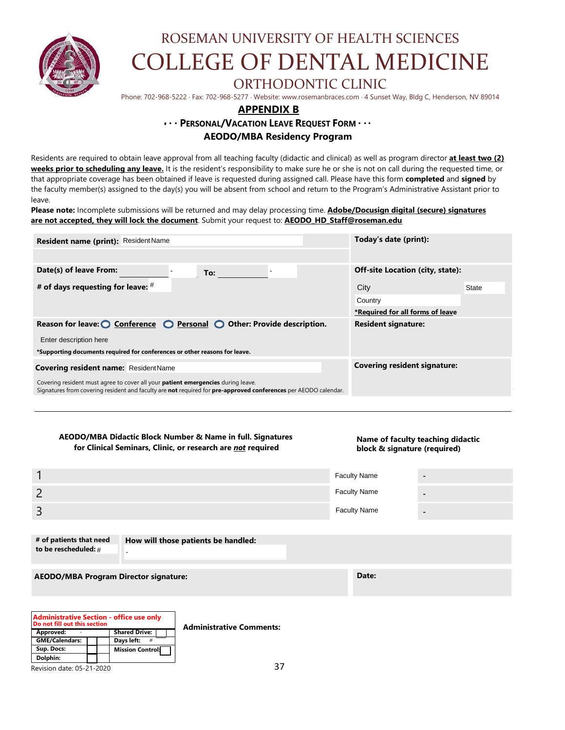

# ROSEMAN UNIVERSITY OF HEALTH SCIENCES COLLEGE OF DENTAL MEDICINE

### ORTHODONTIC CLINIC

Phone: 702-968-5222 ⋅ Fax: 702-968-5277 ⋅ Website: www.rosemanbraces.com ⋅ 4 Sunset Way, Bldg C, Henderson, NV 89014

### **APPENDIX B**

#### **• · · PERSONAL/VACATION LEAVE REQUEST FORM · · · AEODO/MBA Residency Program**

Residents are required to obtain leave approval from all teaching faculty (didactic and clinical) as well as program director **at least two (2) weeks prior to scheduling any leave.** It is the resident's responsibility to make sure he or she is not on call during the requested time, or that appropriate coverage has been obtained if leave is requested during assigned call. Please have this form **completed** and **signed** by the faculty member(s) assigned to the day(s) you will be absent from school and return to the Program's Administrative Assistant prior to leave.

**Please note:** Incomplete submissions will be returned and may delay processing time. **Adobe/Docusign digital (secure) signatures are not accepted, they will lock the document**. Submit your request to: **AEODO\_HD\_Staff@roseman.edu**

| Resident name (print): Resident Name                                                                                                                                                                                     | Today's date (print):                   |  |  |
|--------------------------------------------------------------------------------------------------------------------------------------------------------------------------------------------------------------------------|-----------------------------------------|--|--|
| Date(s) of leave From:<br>To:                                                                                                                                                                                            | <b>Off-site Location (city, state):</b> |  |  |
| # of days requesting for leave: $#$                                                                                                                                                                                      | City<br><b>State</b>                    |  |  |
|                                                                                                                                                                                                                          | Country                                 |  |  |
|                                                                                                                                                                                                                          | *Required for all forms of leave        |  |  |
| Reason for leave: $\bigcirc$ Conference $\bigcirc$ Personal $\bigcirc$ Other: Provide description.                                                                                                                       | <b>Resident signature:</b>              |  |  |
| Enter description here                                                                                                                                                                                                   |                                         |  |  |
| *Supporting documents required for conferences or other reasons for leave.                                                                                                                                               |                                         |  |  |
| <b>Covering resident signature:</b><br><b>Covering resident name: ResidentName</b>                                                                                                                                       |                                         |  |  |
| Covering resident must agree to cover all your <b>patient emergencies</b> during leave.<br>Signatures from covering resident and faculty are <b>not</b> required for <b>pre-approved conferences</b> per AEODO calendar. |                                         |  |  |

#### **AEODO/MBA Didactic Block Number & Name in full. Signatures for Clinical Seminars, Clinic, or research are** *not* **required**

#### **Name of faculty teaching didactic block & signature (required)**

|   | <b>Faculty Name</b> | $\blacksquare$           |
|---|---------------------|--------------------------|
|   | <b>Faculty Name</b> | $\overline{\phantom{0}}$ |
| ت | <b>Faculty Name</b> | $\overline{\phantom{a}}$ |
|   |                     |                          |

| # of patients that need<br>to be rescheduled: # | How will those patients be handled: |       |
|-------------------------------------------------|-------------------------------------|-------|
| <b>AEODO/MBA Program Director signature:</b>    |                                     | Date: |

| Do not fill out this section | <b>Administrative Section - office use only</b> | <b>Administrative Comments:</b> |
|------------------------------|-------------------------------------------------|---------------------------------|
| Approved:                    | <b>Shared Drive: I</b>                          |                                 |
| <b>GME/Calendars:</b>        | Davs left:<br>#                                 |                                 |
| Sup. Docs:                   | Mission Control:                                |                                 |
| Dolphin:                     |                                                 |                                 |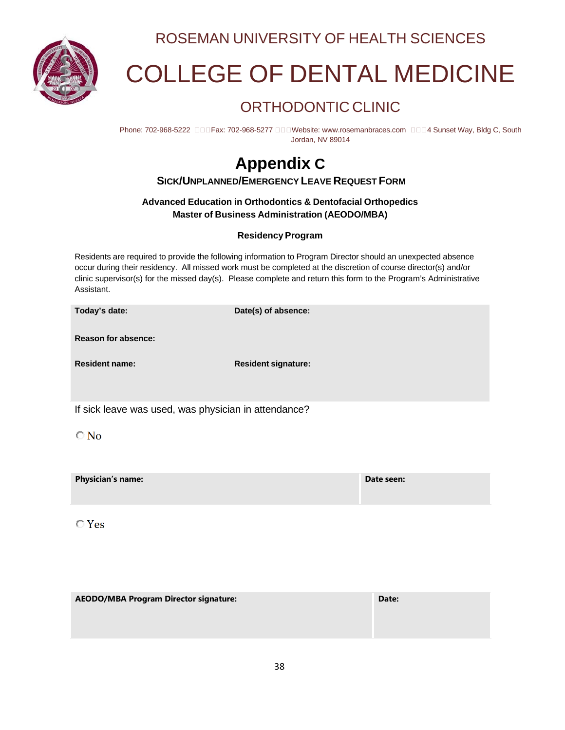

ROSEMAN UNIVERSITY OF HEALTH SCIENCES

# COLLEGE OF DENTAL MEDICINE

### ORTHODONTIC CLINIC

Phone: 702-968-5222 DODFax: 702-968-5277 DODWebsit[e: www.rosemanbraces.com](http://www.rosemanbraces.com/) 0004 Sunset Way, Bldg C, South Jordan, NV 89014

## **Appendix C**

**SICK/UNPLANNED/EMERGENCY LEAVE REQUEST FORM**

### **Advanced Education in Orthodontics & Dentofacial Orthopedics Master of Business Administration (AEODO/MBA)**

### **Residency Program**

Residents are required to provide the following information to Program Director should an unexpected absence occur during their residency. All missed work must be completed at the discretion of course director(s) and/or clinic supervisor(s) for the missed day(s). Please complete and return this form to the Program's Administrative Assistant.

**Today's date: Date(s) of absence:**

**Reason for absence:**

**Resident name: Resident signature:**

If sick leave was used, was physician in attendance?

 $\bigcirc$  No

**Physician's name: Date seen:**

 $\bigcirc$  Yes

| <b>AEODO/MBA Program Director signature:</b> | Date: |
|----------------------------------------------|-------|
|                                              |       |